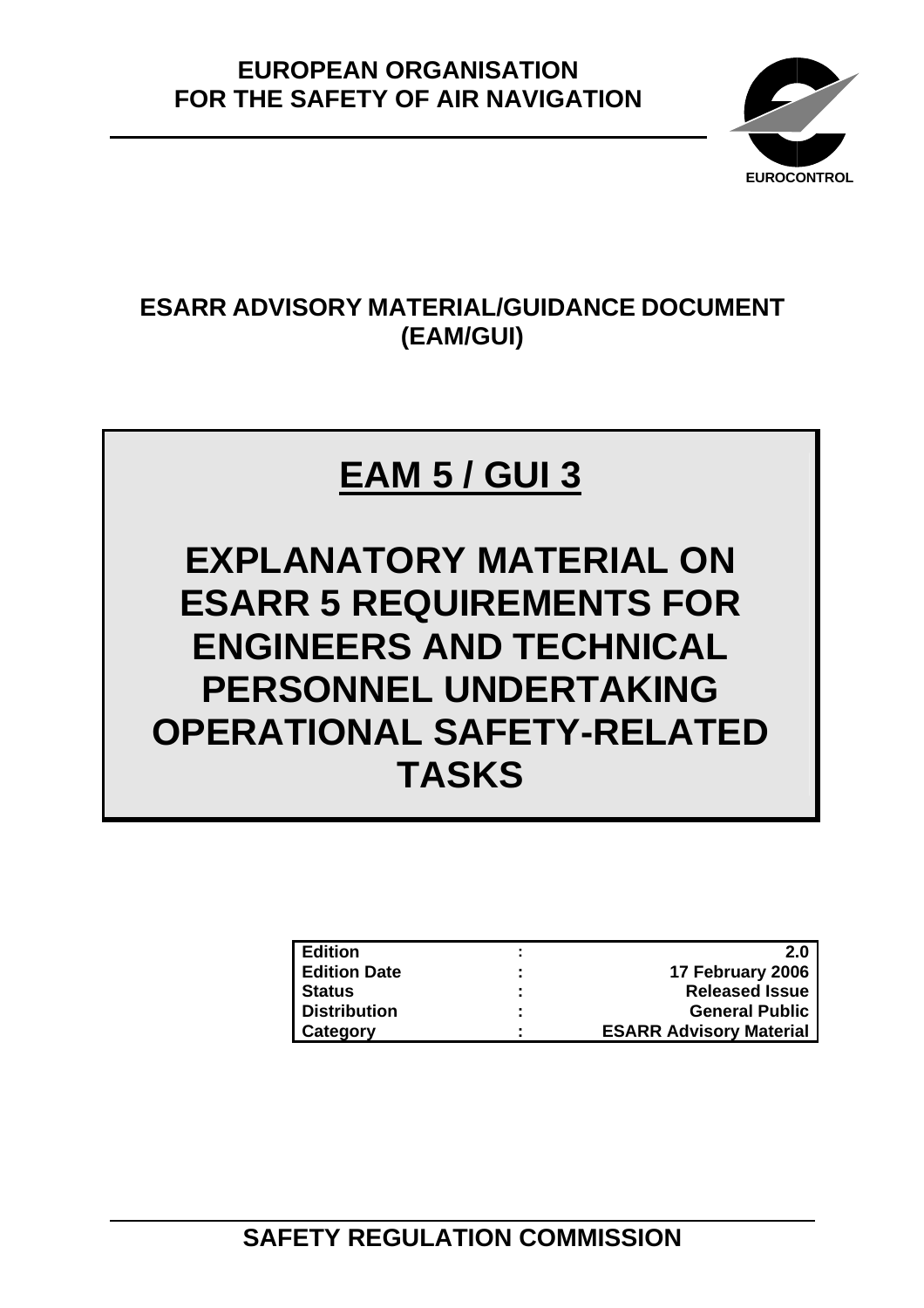

## **ESARR ADVISORY MATERIAL/GUIDANCE DOCUMENT (EAM/GUI)**

# **EAM 5 / GUI 3**

**EXPLANATORY MATERIAL ON ESARR 5 REQUIREMENTS FOR ENGINEERS AND TECHNICAL PERSONNEL UNDERTAKING OPERATIONAL SAFETY-RELATED TASKS**

| <b>LEdition</b>     |   | 2.0                            |
|---------------------|---|--------------------------------|
| <b>Edition Date</b> | ÷ | 17 February 2006               |
| <b>Status</b>       | ٠ | <b>Released Issue</b>          |
| Distribution        | ٠ | <b>General Public</b>          |
| <b>Category</b>     | ٠ | <b>ESARR Advisory Material</b> |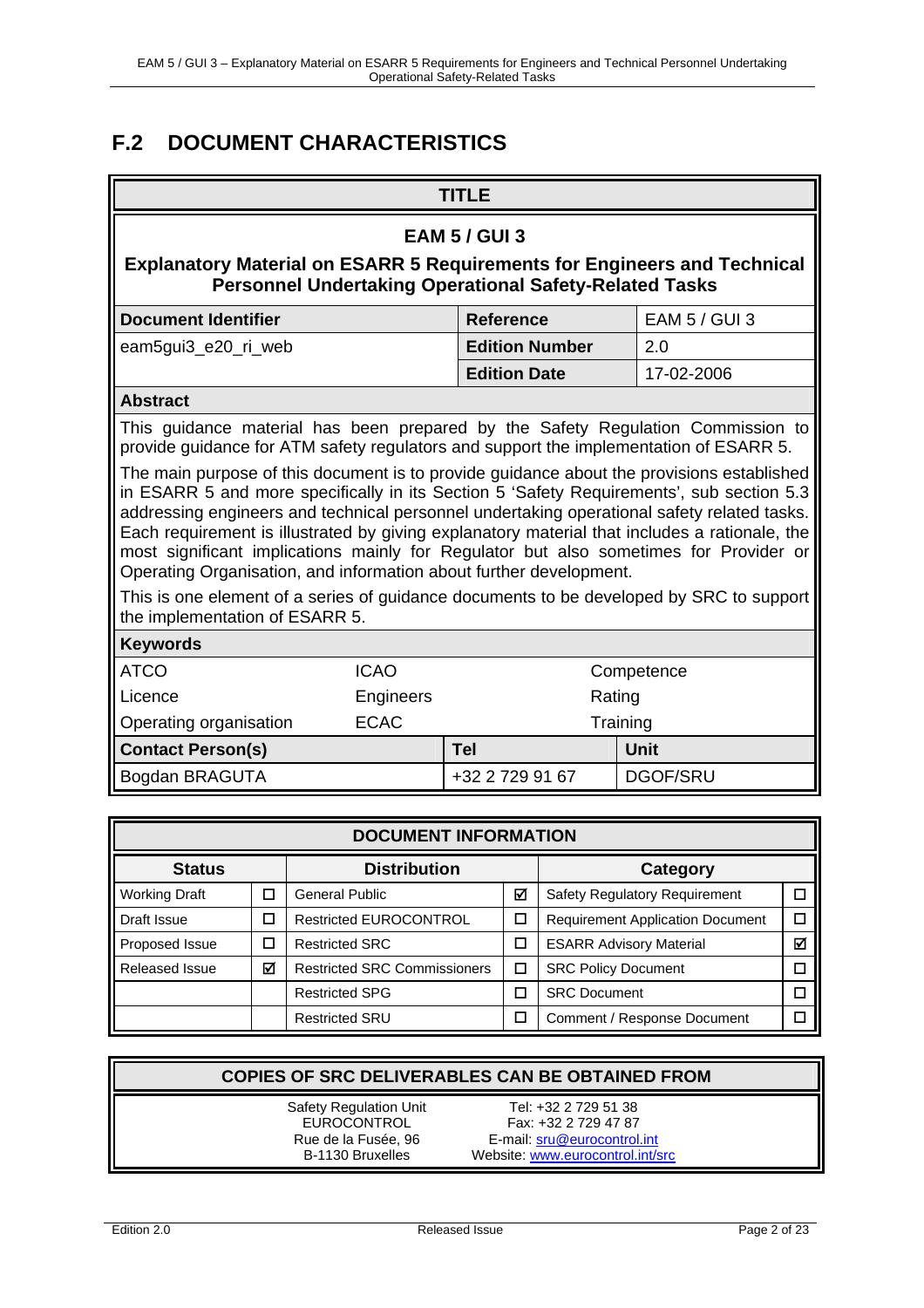### **F.2 DOCUMENT CHARACTERISTICS**

### **TITLE EAM 5 / GUI 3 Explanatory Material on ESARR 5 Requirements for Engineers and Technical Personnel Undertaking Operational Safety-Related Tasks Document Identifier**  Reference **EAM 5 / GUI 3** eam5gui3\_e20\_ri\_web **Edition Number** 2.0 **Edition Date** 17-02-2006 **Abstract**  This guidance material has been prepared by the Safety Regulation Commission to provide guidance for ATM safety regulators and support the implementation of ESARR 5. The main purpose of this document is to provide guidance about the provisions established in ESARR 5 and more specifically in its Section 5 'Safety Requirements', sub section 5.3 addressing engineers and technical personnel undertaking operational safety related tasks. Each requirement is illustrated by giving explanatory material that includes a rationale, the most significant implications mainly for Regulator but also sometimes for Provider or Operating Organisation, and information about further development. This is one element of a series of guidance documents to be developed by SRC to support the implementation of ESARR 5. **Keywords**  ATCO ICAO Competence Licence **Engineers** Engineers Rating Operating organisation ECAC Training **Contact Person(s) Tel Unit**  Bogdan BRAGUTA +32 2 729 91 67 DGOF/SRU

| <b>DOCUMENT INFORMATION</b>          |        |                                     |              |                                         |   |
|--------------------------------------|--------|-------------------------------------|--------------|-----------------------------------------|---|
| <b>Distribution</b><br><b>Status</b> |        |                                     | Category     |                                         |   |
| <b>Working Draft</b>                 |        | <b>General Public</b>               | М            | <b>Safety Regulatory Requirement</b>    |   |
| Draft Issue                          | $\Box$ | <b>Restricted EUROCONTROL</b>       | П            | <b>Requirement Application Document</b> |   |
| Proposed Issue                       | □      | <b>Restricted SRC</b><br>$\Box$     |              | <b>ESARR Advisory Material</b>          | ☑ |
| Released Issue                       | ☑      | <b>Restricted SRC Commissioners</b> | $\mathbf{r}$ | <b>SRC Policy Document</b>              |   |
|                                      |        | <b>Restricted SPG</b>               |              | <b>SRC Document</b>                     |   |
|                                      |        | <b>Restricted SRU</b>               |              | Comment / Response Document             |   |

|                               | <b>COPIES OF SRC DELIVERABLES CAN BE OBTAINED FROM</b> |
|-------------------------------|--------------------------------------------------------|
| <b>Safety Regulation Unit</b> | Tel: +32 2 729 51 38                                   |
| EUROCONTROL                   | Fax: +32 2 729 47 87                                   |
| Rue de la Fusée, 96           | E-mail: sru@eurocontrol.int                            |
| B-1130 Bruxelles              | Website: www.eurocontrol.int/src                       |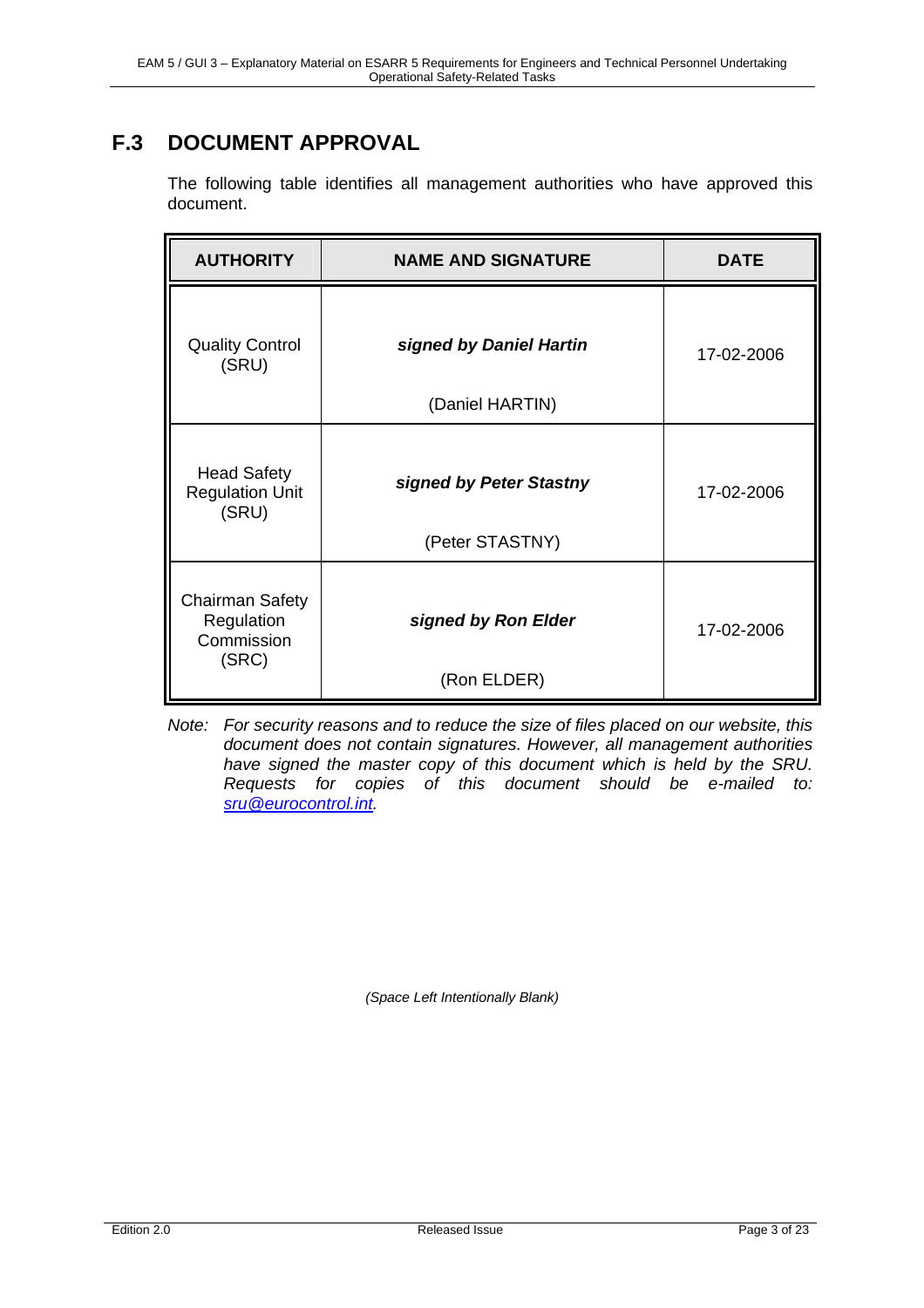### **F.3 DOCUMENT APPROVAL**

The following table identifies all management authorities who have approved this document.

| <b>AUTHORITY</b>                                            | <b>NAME AND SIGNATURE</b>                  | <b>DATE</b> |
|-------------------------------------------------------------|--------------------------------------------|-------------|
| <b>Quality Control</b><br>(SRU)                             | signed by Daniel Hartin<br>(Daniel HARTIN) | 17-02-2006  |
| <b>Head Safety</b><br><b>Regulation Unit</b><br>(SRU)       | signed by Peter Stastny<br>(Peter STASTNY) | 17-02-2006  |
| <b>Chairman Safety</b><br>Regulation<br>Commission<br>(SRC) | signed by Ron Elder<br>(Ron ELDER)         | 17-02-2006  |

*Note: For security reasons and to reduce the size of files placed on our website, this document does not contain signatures. However, all management authorities have signed the master copy of this document which is held by the SRU. Requests for copies of this document should be e-mailed to: sru@eurocontrol.int.*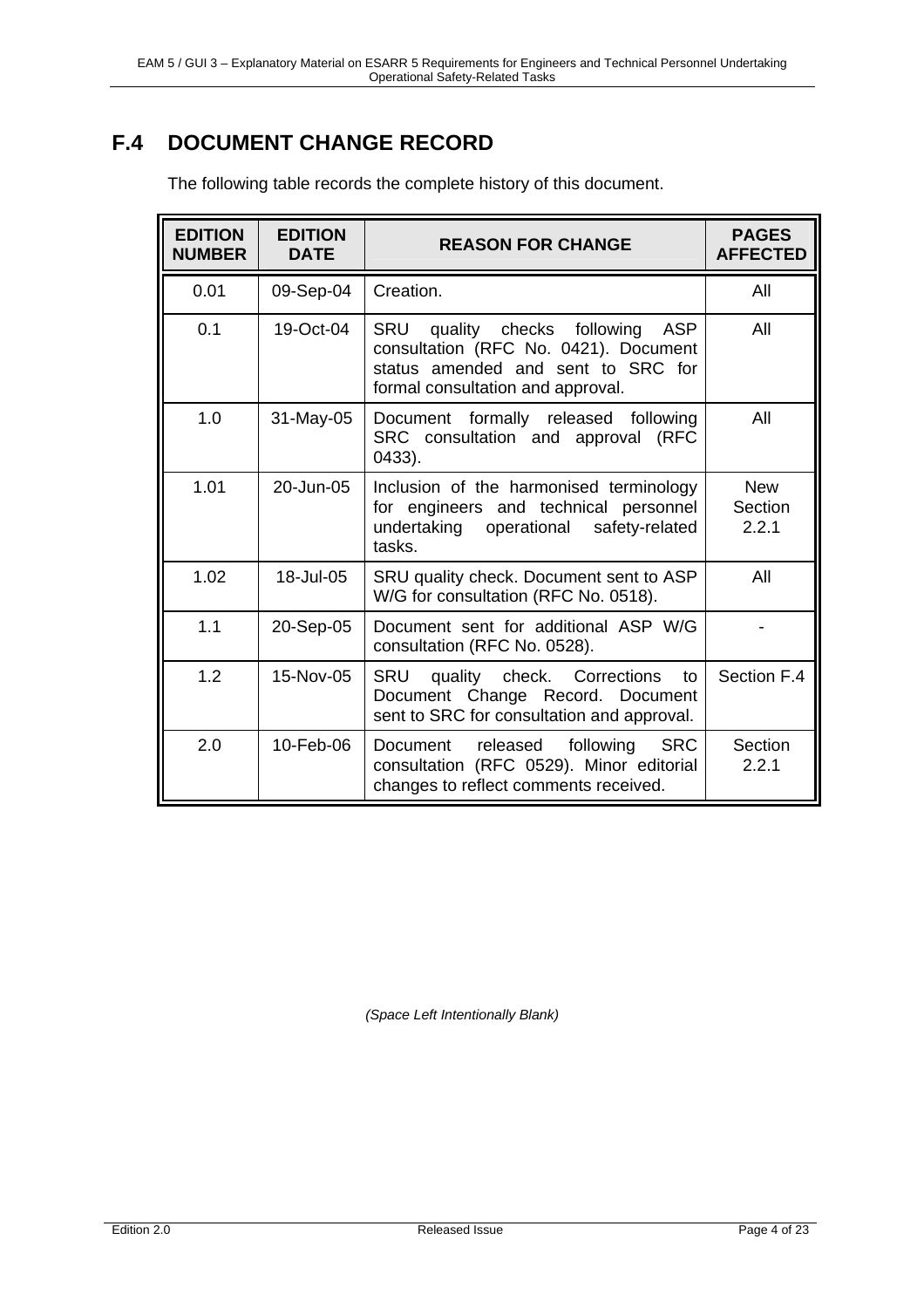### **F.4 DOCUMENT CHANGE RECORD**

| <b>EDITION</b><br><b>NUMBER</b> | <b>EDITION</b><br><b>DATE</b> | <b>REASON FOR CHANGE</b>                                                                                                                                                 | <b>PAGES</b><br><b>AFFECTED</b> |
|---------------------------------|-------------------------------|--------------------------------------------------------------------------------------------------------------------------------------------------------------------------|---------------------------------|
| 0.01                            | 09-Sep-04                     | Creation.                                                                                                                                                                | All                             |
| 0.1                             | 19-Oct-04                     | <b>SRU</b><br>quality checks following<br><b>ASP</b><br>consultation (RFC No. 0421). Document<br>status amended and sent to SRC for<br>formal consultation and approval. | All                             |
| 1.0                             | 31-May-05                     | Document formally released<br>following<br>SRC consultation and approval (RFC<br>$0433$ ).                                                                               | All                             |
| 1.01                            | 20-Jun-05                     | Inclusion of the harmonised terminology<br>for engineers and technical personnel<br>undertaking operational<br>safety-related<br>tasks.                                  | <b>New</b><br>Section<br>2.2.1  |
| 1.02                            | 18-Jul-05                     | SRU quality check. Document sent to ASP<br>W/G for consultation (RFC No. 0518).                                                                                          | All                             |
| 1.1                             | 20-Sep-05                     | Document sent for additional ASP W/G<br>consultation (RFC No. 0528).                                                                                                     |                                 |
| 1.2                             | 15-Nov-05                     | quality check. Corrections<br><b>SRU</b><br>to<br>Document Change Record. Document<br>sent to SRC for consultation and approval.                                         | Section F.4                     |
| 2.0                             | 10-Feb-06                     | released following<br>SRC<br>Document<br>consultation (RFC 0529). Minor editorial<br>changes to reflect comments received.                                               | Section<br>2.2.1                |

The following table records the complete history of this document.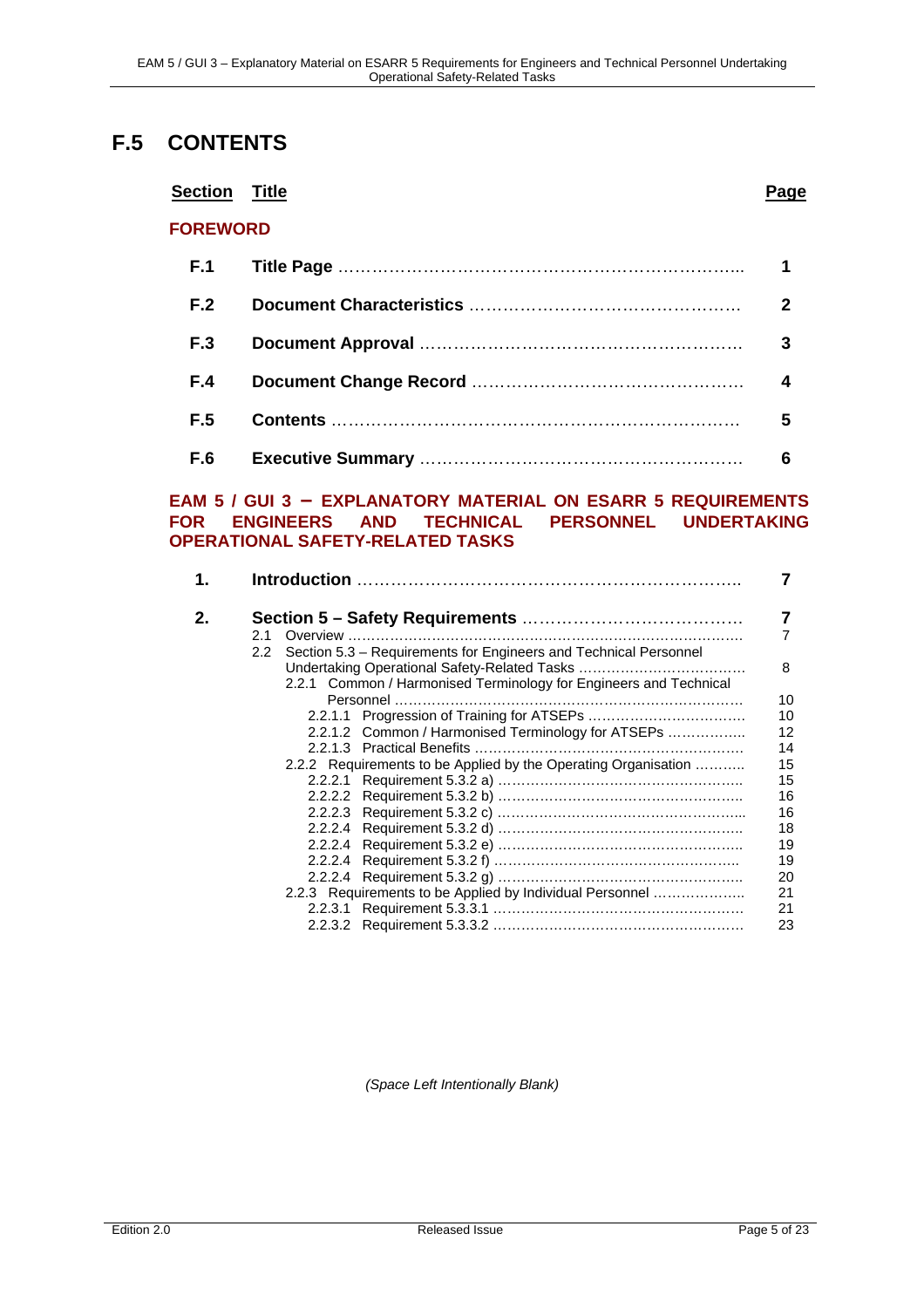### **F.5 CONTENTS**

#### **Section Title Page**

#### **FOREWORD**

| <b>F.1</b> |   |
|------------|---|
| F.2        | 2 |
| <b>F.3</b> |   |
| F.4        |   |
| F.5        | 5 |
| F.6        | 6 |

#### **EAM 5 / GUI 3 – EXPLANATORY MATERIAL ON ESARR 5 REQUIREMENTS FOR ENGINEERS AND TECHNICAL PERSONNEL UNDERTAKING OPERATIONAL SAFETY-RELATED TASKS**

| 1. |               |                                                                   |    |
|----|---------------|-------------------------------------------------------------------|----|
| 2. | 2.1           |                                                                   | 7  |
|    | $2.2^{\circ}$ | Section 5.3 - Requirements for Engineers and Technical Personnel  |    |
|    |               |                                                                   | 8  |
|    |               | 2.2.1 Common / Harmonised Terminology for Engineers and Technical |    |
|    |               |                                                                   | 10 |
|    |               |                                                                   | 10 |
|    |               | 2.2.1.2 Common / Harmonised Terminology for ATSEPs                | 12 |
|    |               |                                                                   | 14 |
|    |               | 2.2.2 Requirements to be Applied by the Operating Organisation    | 15 |
|    |               |                                                                   | 15 |
|    |               |                                                                   | 16 |
|    |               |                                                                   | 16 |
|    |               |                                                                   | 18 |
|    |               |                                                                   | 19 |
|    |               |                                                                   | 19 |
|    |               |                                                                   | 20 |
|    |               | 2.2.3 Requirements to be Applied by Individual Personnel          | 21 |
|    |               |                                                                   | 21 |
|    |               |                                                                   | 23 |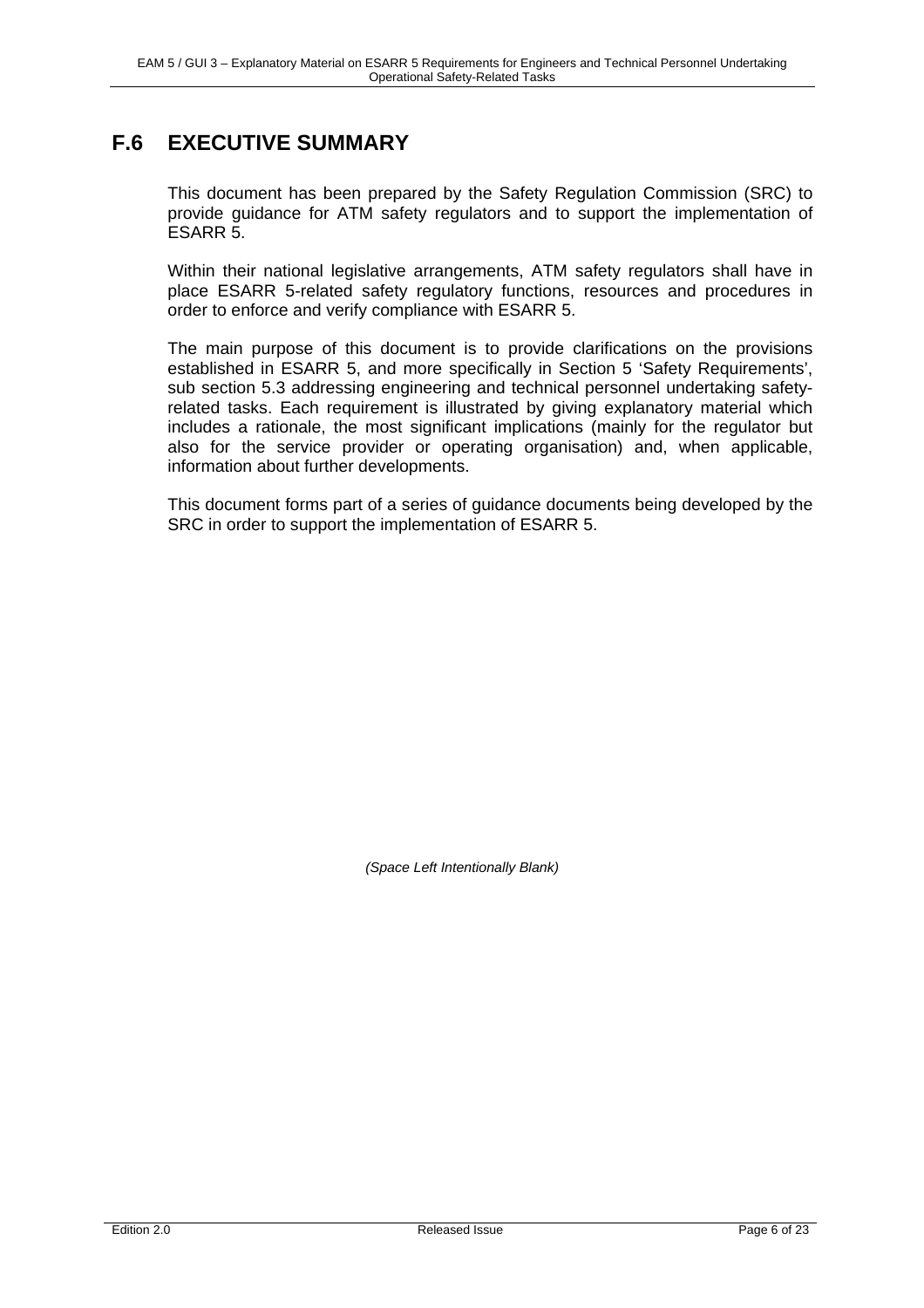### **F.6 EXECUTIVE SUMMARY**

This document has been prepared by the Safety Regulation Commission (SRC) to provide guidance for ATM safety regulators and to support the implementation of ESARR 5.

Within their national legislative arrangements, ATM safety regulators shall have in place ESARR 5-related safety regulatory functions, resources and procedures in order to enforce and verify compliance with ESARR 5.

The main purpose of this document is to provide clarifications on the provisions established in ESARR 5, and more specifically in Section 5 'Safety Requirements', sub section 5.3 addressing engineering and technical personnel undertaking safetyrelated tasks. Each requirement is illustrated by giving explanatory material which includes a rationale, the most significant implications (mainly for the regulator but also for the service provider or operating organisation) and, when applicable, information about further developments.

This document forms part of a series of guidance documents being developed by the SRC in order to support the implementation of ESARR 5.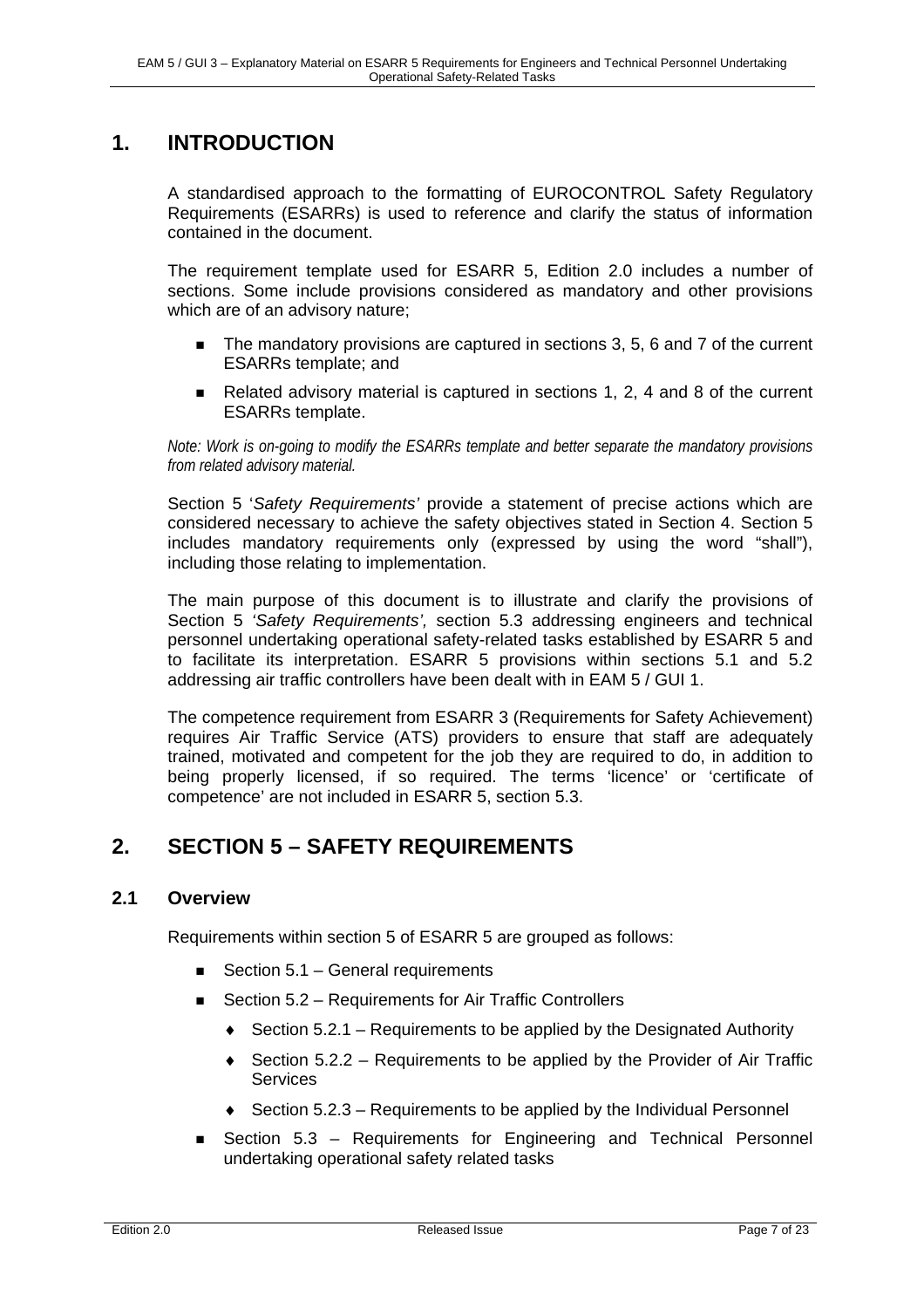### **1. INTRODUCTION**

A standardised approach to the formatting of EUROCONTROL Safety Regulatory Requirements (ESARRs) is used to reference and clarify the status of information contained in the document.

The requirement template used for ESARR 5, Edition 2.0 includes a number of sections. Some include provisions considered as mandatory and other provisions which are of an advisory nature;

- The mandatory provisions are captured in sections 3, 5, 6 and 7 of the current ESARRs template; and
- Related advisory material is captured in sections 1, 2, 4 and 8 of the current ESARRs template.

*Note: Work is on-going to modify the ESARRs template and better separate the mandatory provisions from related advisory material.* 

Section 5 '*Safety Requirements'* provide a statement of precise actions which are considered necessary to achieve the safety objectives stated in Section 4. Section 5 includes mandatory requirements only (expressed by using the word "shall"), including those relating to implementation.

The main purpose of this document is to illustrate and clarify the provisions of Section 5 *'Safety Requirements',* section 5.3 addressing engineers and technical personnel undertaking operational safety-related tasks established by ESARR 5 and to facilitate its interpretation. ESARR 5 provisions within sections 5.1 and 5.2 addressing air traffic controllers have been dealt with in EAM 5 / GUI 1.

The competence requirement from ESARR 3 (Requirements for Safety Achievement) requires Air Traffic Service (ATS) providers to ensure that staff are adequately trained, motivated and competent for the job they are required to do, in addition to being properly licensed, if so required. The terms 'licence' or 'certificate of competence' are not included in ESARR 5, section 5.3.

### **2. SECTION 5 – SAFETY REQUIREMENTS**

### **2.1 Overview**

Requirements within section 5 of ESARR 5 are grouped as follows:

- Section 5.1 General requirements
- Section 5.2 Requirements for Air Traffic Controllers
	- $\bullet$  Section 5.2.1 Requirements to be applied by the Designated Authority
	- $\bullet$  Section 5.2.2 Requirements to be applied by the Provider of Air Traffic **Services**
	- ♦ Section 5.2.3 Requirements to be applied by the Individual Personnel
- Section 5.3 Requirements for Engineering and Technical Personnel undertaking operational safety related tasks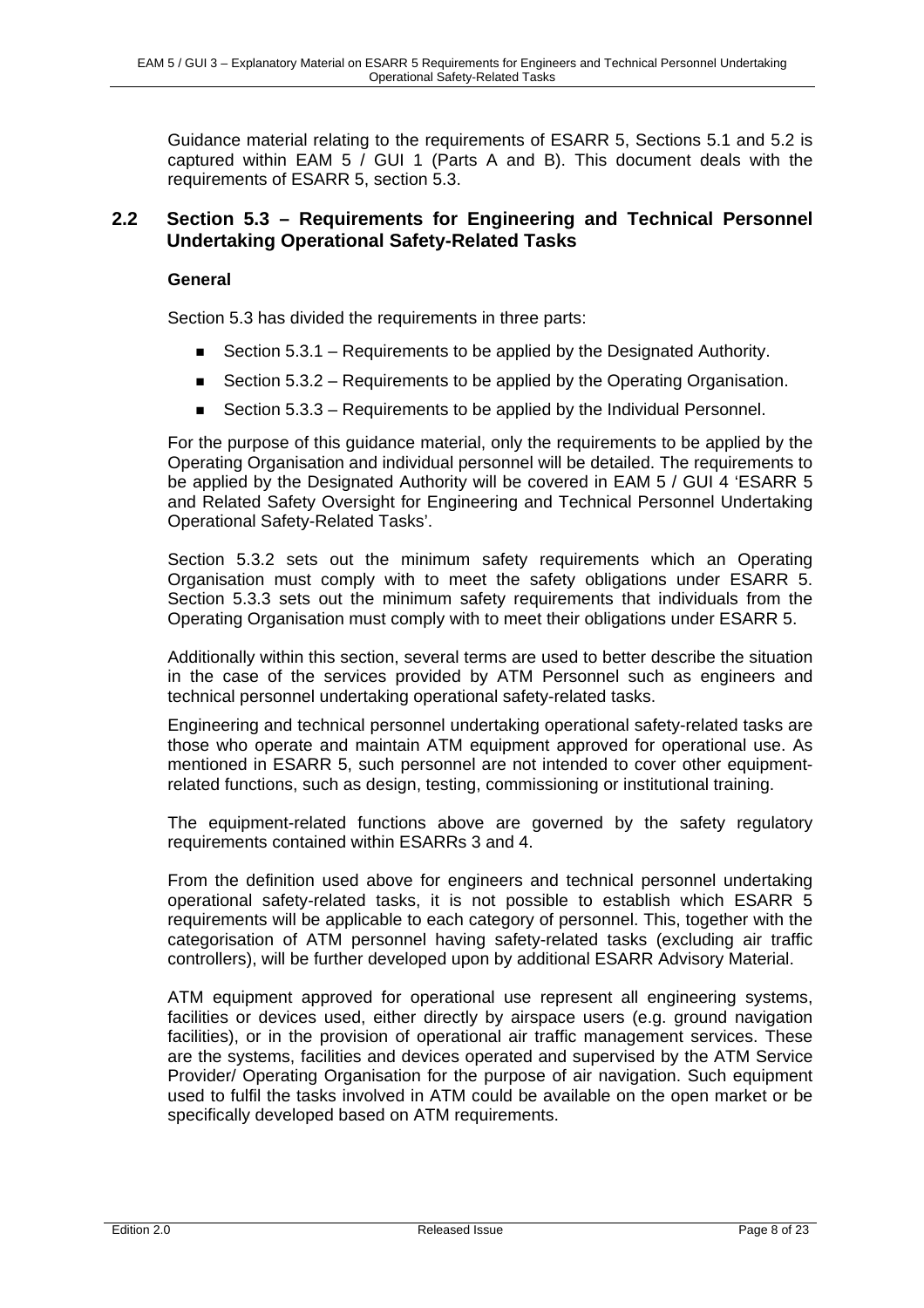Guidance material relating to the requirements of ESARR 5, Sections 5.1 and 5.2 is captured within EAM 5 / GUI 1 (Parts A and B). This document deals with the requirements of ESARR 5, section 5.3.

### **2.2 Section 5.3 – Requirements for Engineering and Technical Personnel Undertaking Operational Safety-Related Tasks**

#### **General**

Section 5.3 has divided the requirements in three parts:

- Section  $5.3.1$  Requirements to be applied by the Designated Authority.
- Section 5.3.2 Requirements to be applied by the Operating Organisation.
- Section 5.3.3 Requirements to be applied by the Individual Personnel.

For the purpose of this guidance material, only the requirements to be applied by the Operating Organisation and individual personnel will be detailed. The requirements to be applied by the Designated Authority will be covered in EAM 5 / GUI 4 'ESARR 5 and Related Safety Oversight for Engineering and Technical Personnel Undertaking Operational Safety-Related Tasks'.

Section 5.3.2 sets out the minimum safety requirements which an Operating Organisation must comply with to meet the safety obligations under ESARR 5. Section 5.3.3 sets out the minimum safety requirements that individuals from the Operating Organisation must comply with to meet their obligations under ESARR 5.

Additionally within this section, several terms are used to better describe the situation in the case of the services provided by ATM Personnel such as engineers and technical personnel undertaking operational safety-related tasks.

Engineering and technical personnel undertaking operational safety-related tasks are those who operate and maintain ATM equipment approved for operational use. As mentioned in ESARR 5, such personnel are not intended to cover other equipmentrelated functions, such as design, testing, commissioning or institutional training.

The equipment-related functions above are governed by the safety regulatory requirements contained within ESARRs 3 and 4.

From the definition used above for engineers and technical personnel undertaking operational safety-related tasks, it is not possible to establish which ESARR 5 requirements will be applicable to each category of personnel. This, together with the categorisation of ATM personnel having safety-related tasks (excluding air traffic controllers), will be further developed upon by additional ESARR Advisory Material.

ATM equipment approved for operational use represent all engineering systems, facilities or devices used, either directly by airspace users (e.g. ground navigation facilities), or in the provision of operational air traffic management services. These are the systems, facilities and devices operated and supervised by the ATM Service Provider/ Operating Organisation for the purpose of air navigation. Such equipment used to fulfil the tasks involved in ATM could be available on the open market or be specifically developed based on ATM requirements.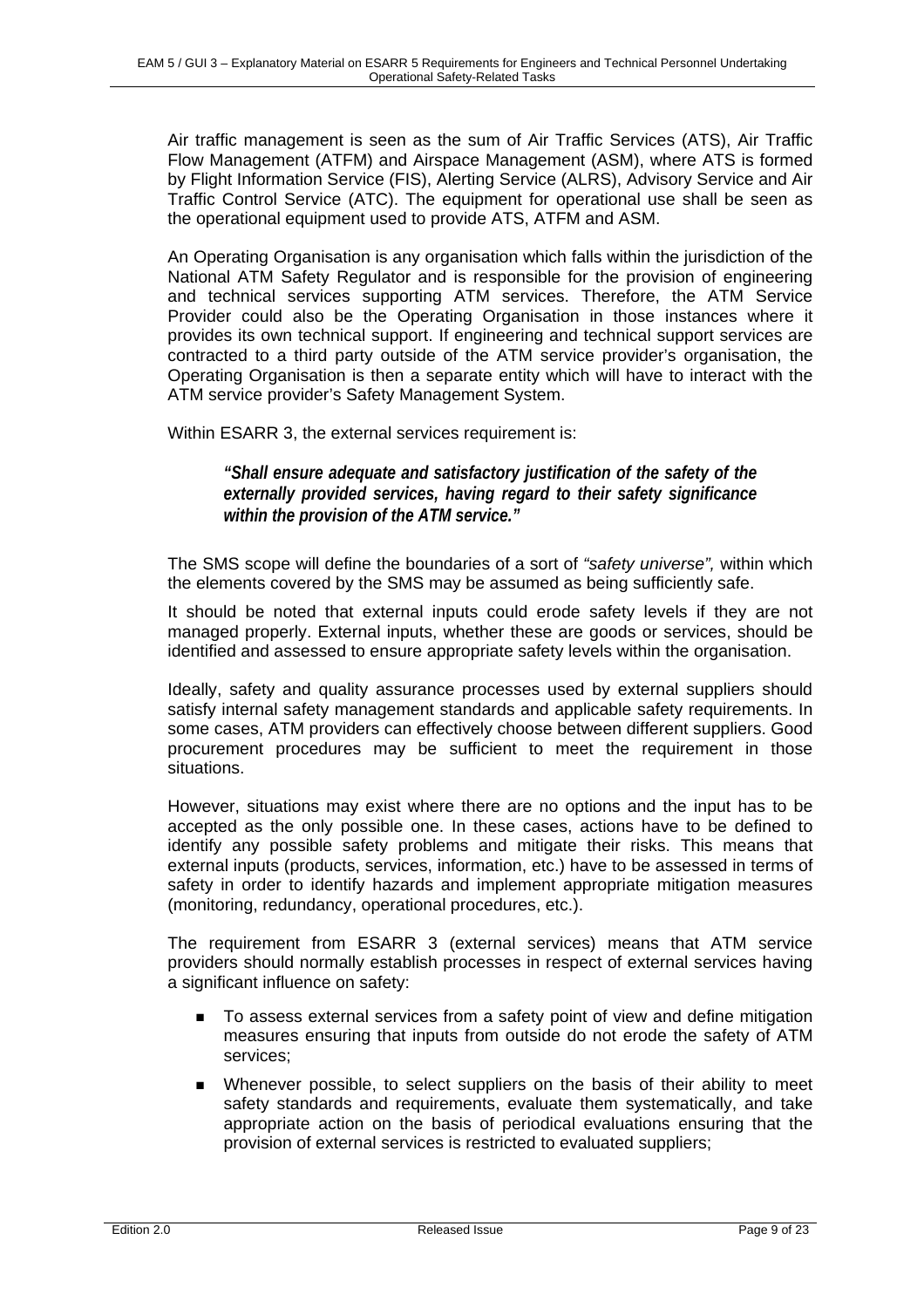Air traffic management is seen as the sum of Air Traffic Services (ATS), Air Traffic Flow Management (ATFM) and Airspace Management (ASM), where ATS is formed by Flight Information Service (FIS), Alerting Service (ALRS), Advisory Service and Air Traffic Control Service (ATC). The equipment for operational use shall be seen as the operational equipment used to provide ATS, ATFM and ASM.

An Operating Organisation is any organisation which falls within the jurisdiction of the National ATM Safety Regulator and is responsible for the provision of engineering and technical services supporting ATM services. Therefore, the ATM Service Provider could also be the Operating Organisation in those instances where it provides its own technical support. If engineering and technical support services are contracted to a third party outside of the ATM service provider's organisation, the Operating Organisation is then a separate entity which will have to interact with the ATM service provider's Safety Management System.

Within ESARR 3, the external services requirement is:

*"Shall ensure adequate and satisfactory justification of the safety of the externally provided services, having regard to their safety significance within the provision of the ATM service."* 

The SMS scope will define the boundaries of a sort of *"safety universe",* within which the elements covered by the SMS may be assumed as being sufficiently safe.

It should be noted that external inputs could erode safety levels if they are not managed properly. External inputs, whether these are goods or services, should be identified and assessed to ensure appropriate safety levels within the organisation.

Ideally, safety and quality assurance processes used by external suppliers should satisfy internal safety management standards and applicable safety requirements. In some cases, ATM providers can effectively choose between different suppliers. Good procurement procedures may be sufficient to meet the requirement in those situations.

However, situations may exist where there are no options and the input has to be accepted as the only possible one. In these cases, actions have to be defined to identify any possible safety problems and mitigate their risks. This means that external inputs (products, services, information, etc.) have to be assessed in terms of safety in order to identify hazards and implement appropriate mitigation measures (monitoring, redundancy, operational procedures, etc.).

The requirement from ESARR 3 (external services) means that ATM service providers should normally establish processes in respect of external services having a significant influence on safety:

- To assess external services from a safety point of view and define mitigation measures ensuring that inputs from outside do not erode the safety of ATM services;
- Whenever possible, to select suppliers on the basis of their ability to meet safety standards and requirements, evaluate them systematically, and take appropriate action on the basis of periodical evaluations ensuring that the provision of external services is restricted to evaluated suppliers;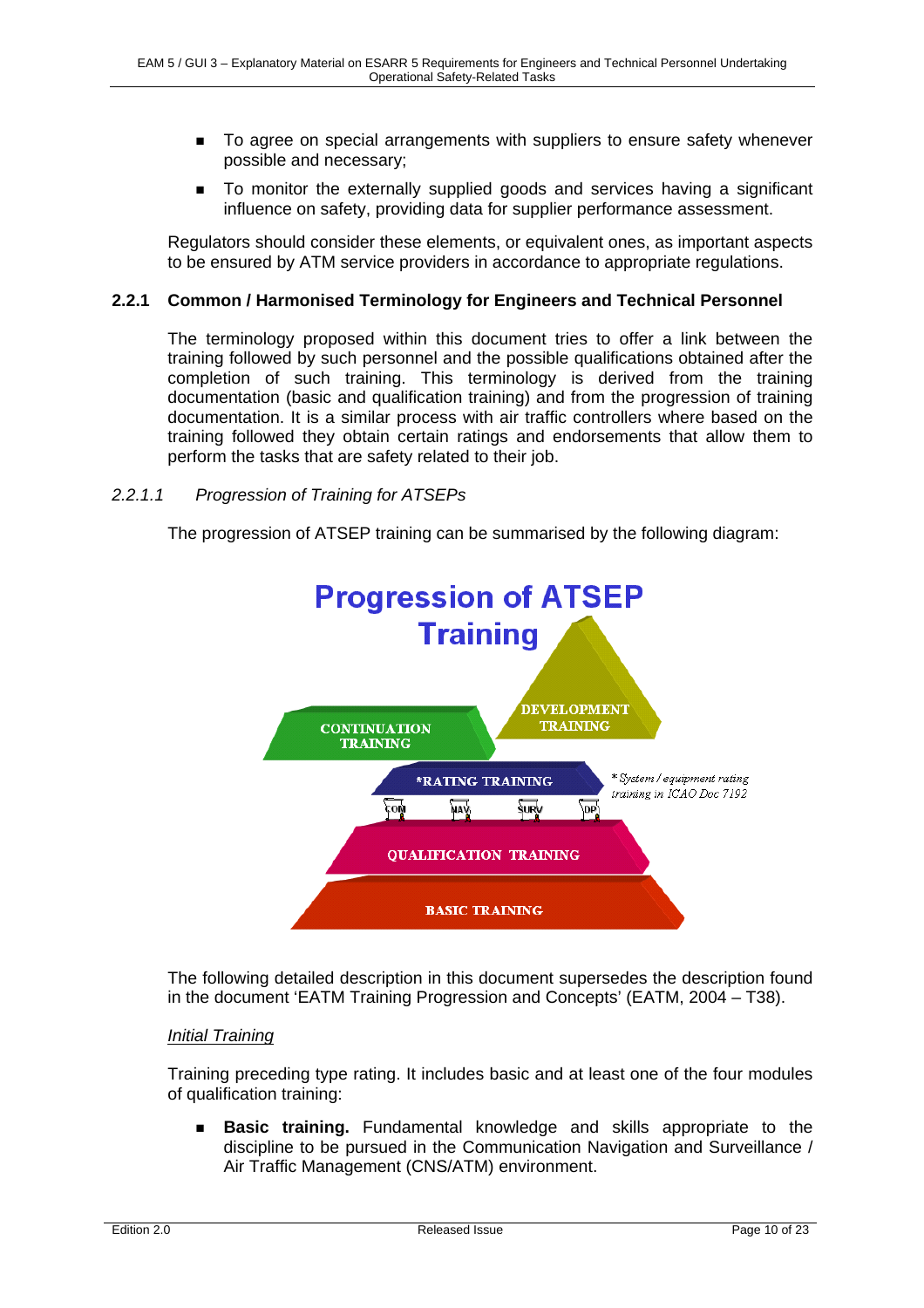- To agree on special arrangements with suppliers to ensure safety whenever possible and necessary;
- To monitor the externally supplied goods and services having a significant influence on safety, providing data for supplier performance assessment.

Regulators should consider these elements, or equivalent ones, as important aspects to be ensured by ATM service providers in accordance to appropriate regulations.

#### **2.2.1 Common / Harmonised Terminology for Engineers and Technical Personnel**

The terminology proposed within this document tries to offer a link between the training followed by such personnel and the possible qualifications obtained after the completion of such training. This terminology is derived from the training documentation (basic and qualification training) and from the progression of training documentation. It is a similar process with air traffic controllers where based on the training followed they obtain certain ratings and endorsements that allow them to perform the tasks that are safety related to their job.

#### *2.2.1.1 Progression of Training for ATSEPs*

The progression of ATSEP training can be summarised by the following diagram:



The following detailed description in this document supersedes the description found in the document 'EATM Training Progression and Concepts' (EATM, 2004 – T38).

#### *Initial Training*

Training preceding type rating. It includes basic and at least one of the four modules of qualification training:

 **Basic training.** Fundamental knowledge and skills appropriate to the discipline to be pursued in the Communication Navigation and Surveillance / Air Traffic Management (CNS/ATM) environment.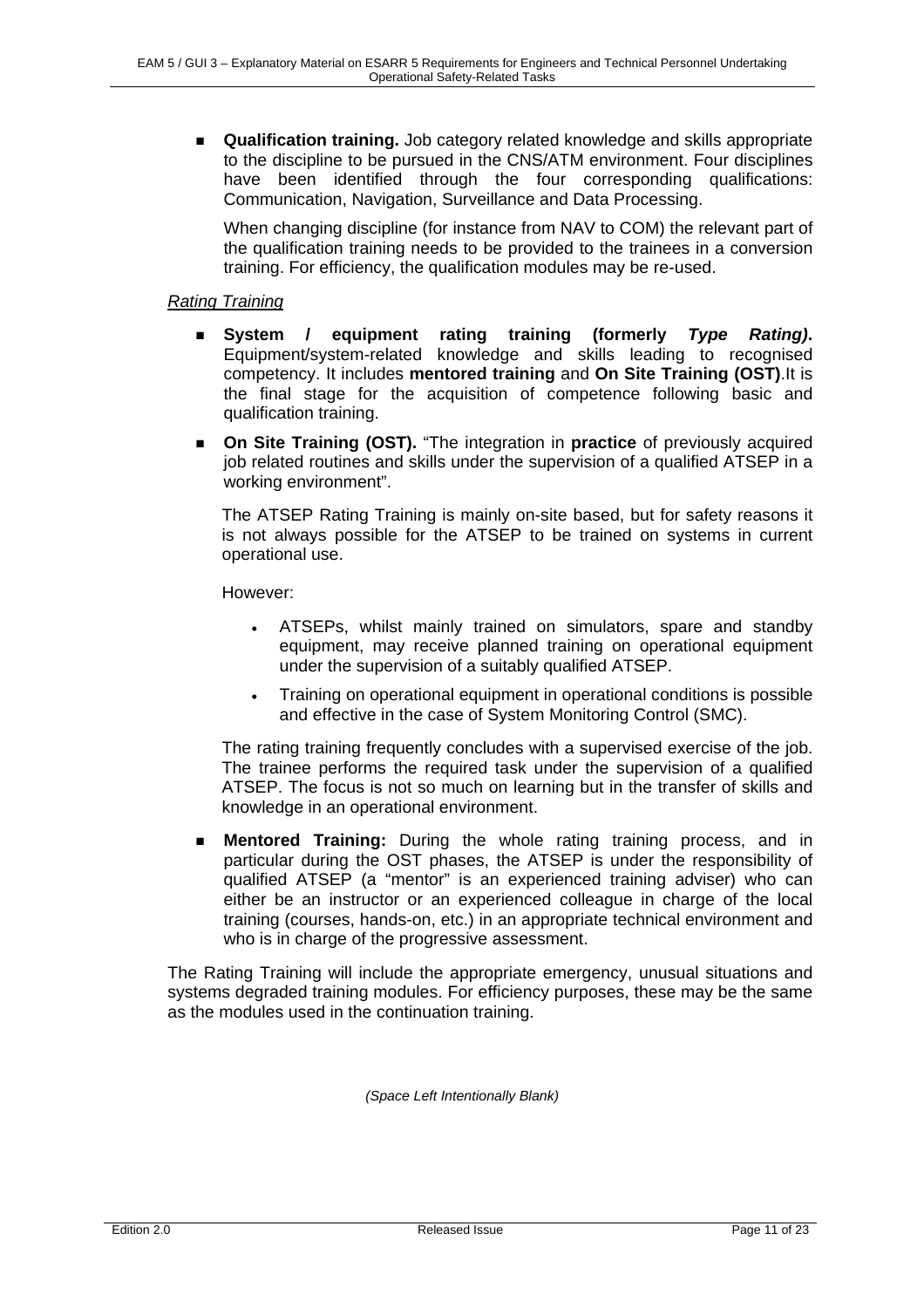**Qualification training.** Job category related knowledge and skills appropriate to the discipline to be pursued in the CNS/ATM environment. Four disciplines have been identified through the four corresponding qualifications: Communication, Navigation, Surveillance and Data Processing.

When changing discipline (for instance from NAV to COM) the relevant part of the qualification training needs to be provided to the trainees in a conversion training. For efficiency, the qualification modules may be re-used.

#### *Rating Training*

- **System / equipment rating training (formerly** *Type Rating)***.**  Equipment/system-related knowledge and skills leading to recognised competency. It includes **mentored training** and **On Site Training (OST)**.It is the final stage for the acquisition of competence following basic and qualification training.
- **On Site Training (OST).** "The integration in **practice** of previously acquired job related routines and skills under the supervision of a qualified ATSEP in a working environment".

The ATSEP Rating Training is mainly on-site based, but for safety reasons it is not always possible for the ATSEP to be trained on systems in current operational use.

However:

- ATSEPs, whilst mainly trained on simulators, spare and standby equipment, may receive planned training on operational equipment under the supervision of a suitably qualified ATSEP.
- Training on operational equipment in operational conditions is possible and effective in the case of System Monitoring Control (SMC).

The rating training frequently concludes with a supervised exercise of the job. The trainee performs the required task under the supervision of a qualified ATSEP. The focus is not so much on learning but in the transfer of skills and knowledge in an operational environment.

 **Mentored Training:** During the whole rating training process, and in particular during the OST phases, the ATSEP is under the responsibility of qualified ATSEP (a "mentor" is an experienced training adviser) who can either be an instructor or an experienced colleague in charge of the local training (courses, hands-on, etc.) in an appropriate technical environment and who is in charge of the progressive assessment.

The Rating Training will include the appropriate emergency, unusual situations and systems degraded training modules. For efficiency purposes, these may be the same as the modules used in the continuation training.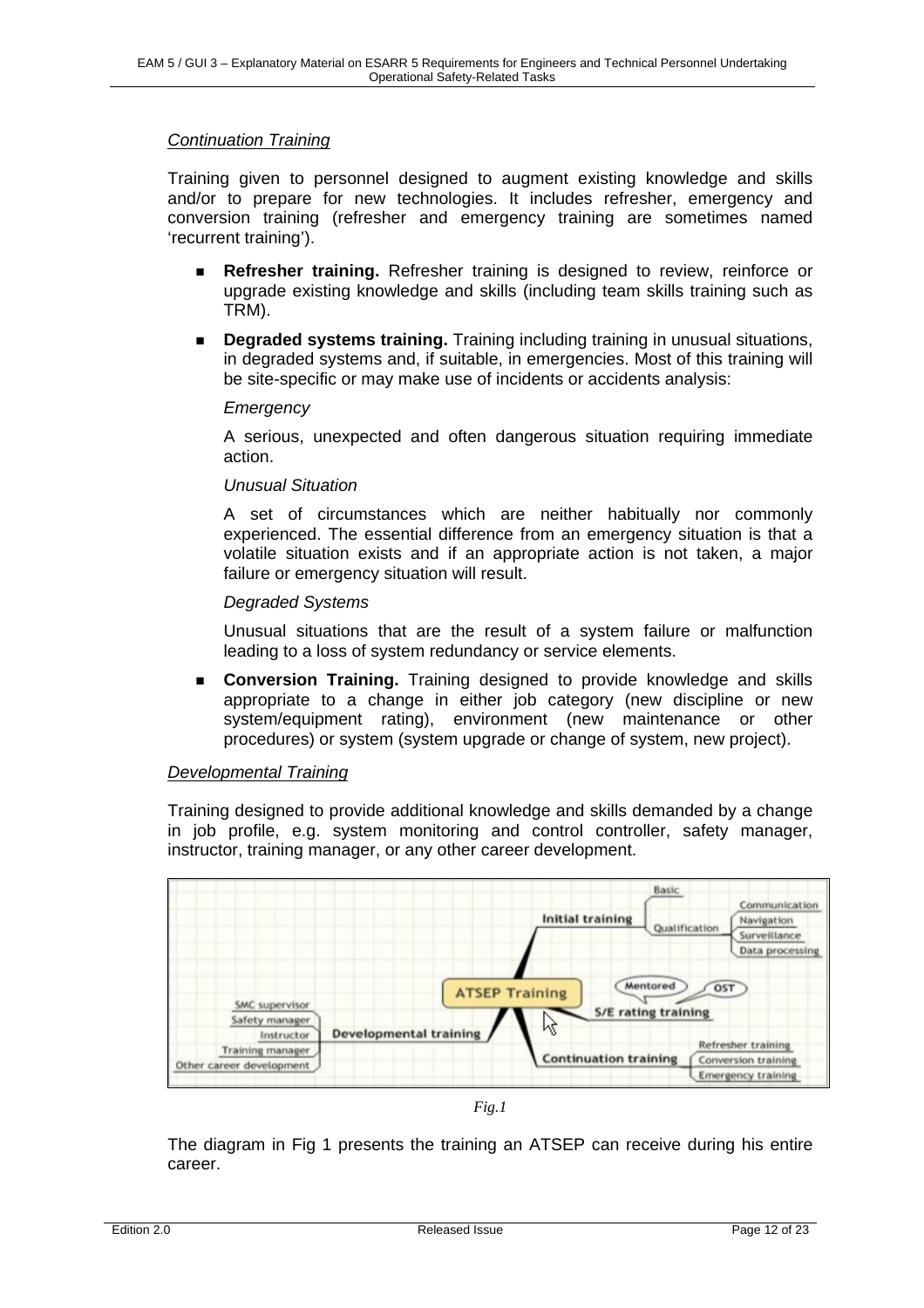#### *Continuation Training*

Training given to personnel designed to augment existing knowledge and skills and/or to prepare for new technologies. It includes refresher, emergency and conversion training (refresher and emergency training are sometimes named 'recurrent training').

- **Refresher training.** Refresher training is designed to review, reinforce or upgrade existing knowledge and skills (including team skills training such as TRM).
- **Degraded systems training.** Training including training in unusual situations, in degraded systems and, if suitable, in emergencies. Most of this training will be site-specific or may make use of incidents or accidents analysis:

#### *Emergency*

A serious, unexpected and often dangerous situation requiring immediate action.

#### *Unusual Situation*

A set of circumstances which are neither habitually nor commonly experienced. The essential difference from an emergency situation is that a volatile situation exists and if an appropriate action is not taken, a major failure or emergency situation will result.

#### *Degraded Systems*

Unusual situations that are the result of a system failure or malfunction leading to a loss of system redundancy or service elements.

 **Conversion Training.** Training designed to provide knowledge and skills appropriate to a change in either job category (new discipline or new system/equipment rating), environment (new maintenance or other procedures) or system (system upgrade or change of system, new project).

#### *Developmental Training*

Training designed to provide additional knowledge and skills demanded by a change in job profile, e.g. system monitoring and control controller, safety manager, instructor, training manager, or any other career development.



*Fig.1* 

The diagram in Fig 1 presents the training an ATSEP can receive during his entire career.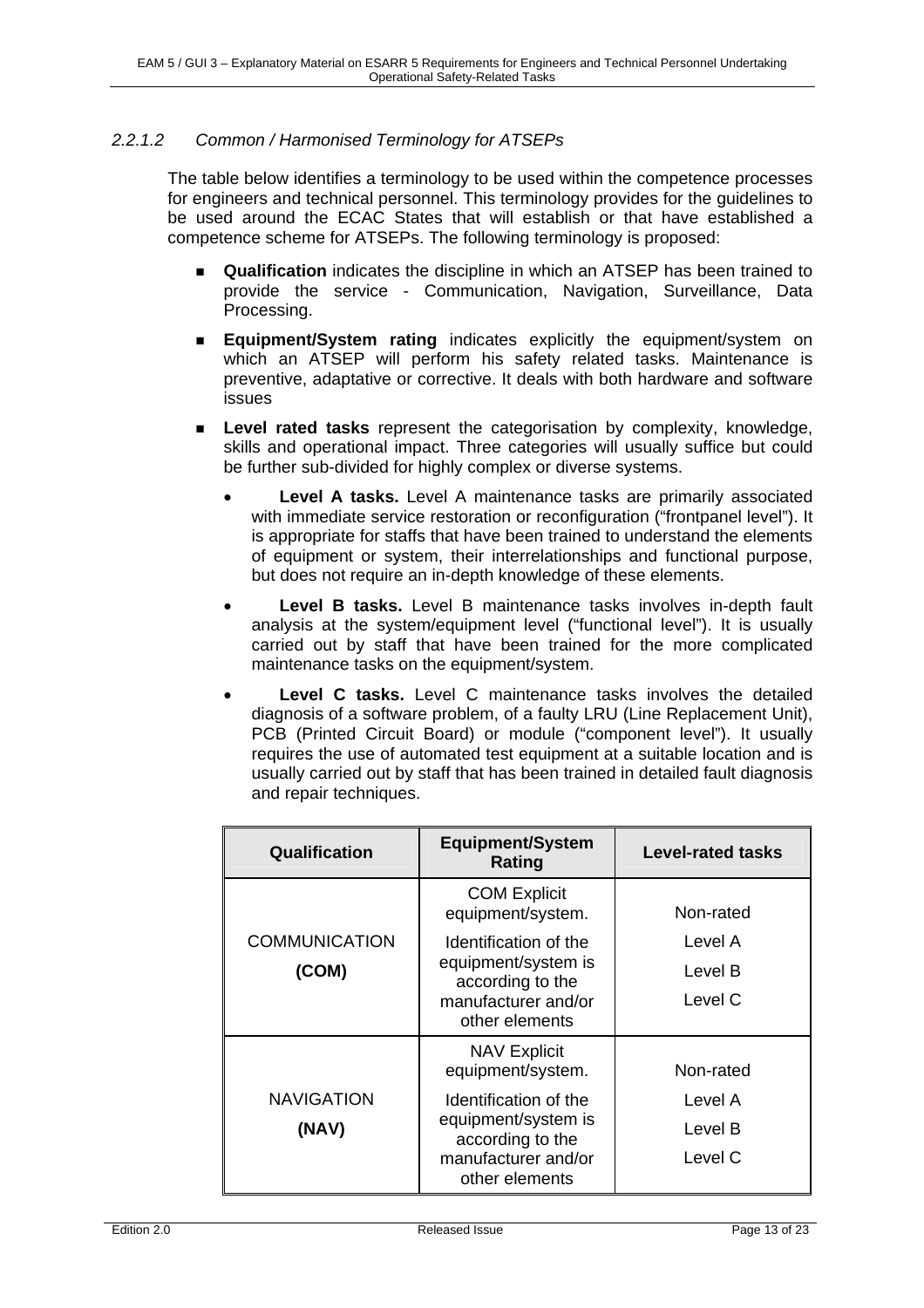#### *2.2.1.2 Common / Harmonised Terminology for ATSEPs*

The table below identifies a terminology to be used within the competence processes for engineers and technical personnel. This terminology provides for the guidelines to be used around the ECAC States that will establish or that have established a competence scheme for ATSEPs. The following terminology is proposed:

- **Qualification** indicates the discipline in which an ATSEP has been trained to provide the service - Communication, Navigation, Surveillance, Data Processing.
- **Equipment/System rating** indicates explicitly the equipment/system on which an ATSEP will perform his safety related tasks. Maintenance is preventive, adaptative or corrective. It deals with both hardware and software issues
- **Level rated tasks** represent the categorisation by complexity, knowledge, skills and operational impact. Three categories will usually suffice but could be further sub-divided for highly complex or diverse systems.
	- **Level A tasks.** Level A maintenance tasks are primarily associated with immediate service restoration or reconfiguration ("frontpanel level"). It is appropriate for staffs that have been trained to understand the elements of equipment or system, their interrelationships and functional purpose, but does not require an in-depth knowledge of these elements.
	- Level B tasks. Level B maintenance tasks involves in-depth fault analysis at the system/equipment level ("functional level"). It is usually carried out by staff that have been trained for the more complicated maintenance tasks on the equipment/system.
	- Level C tasks. Level C maintenance tasks involves the detailed diagnosis of a software problem, of a faulty LRU (Line Replacement Unit), PCB (Printed Circuit Board) or module ("component level"). It usually requires the use of automated test equipment at a suitable location and is usually carried out by staff that has been trained in detailed fault diagnosis and repair techniques.

| <b>Qualification</b> | <b>Equipment/System</b><br><b>Rating</b> | <b>Level-rated tasks</b> |
|----------------------|------------------------------------------|--------------------------|
|                      | <b>COM Explicit</b><br>equipment/system. | Non-rated                |
| <b>COMMUNICATION</b> | Identification of the                    | Level A                  |
| (COM)                | equipment/system is<br>according to the  | Level B                  |
|                      | manufacturer and/or<br>other elements    | Level C                  |
|                      | <b>NAV Explicit</b><br>equipment/system. | Non-rated                |
| <b>NAVIGATION</b>    | Identification of the                    | Level A                  |
| (NAV)                | equipment/system is<br>according to the  | Level B                  |
|                      | manufacturer and/or<br>other elements    | Level C                  |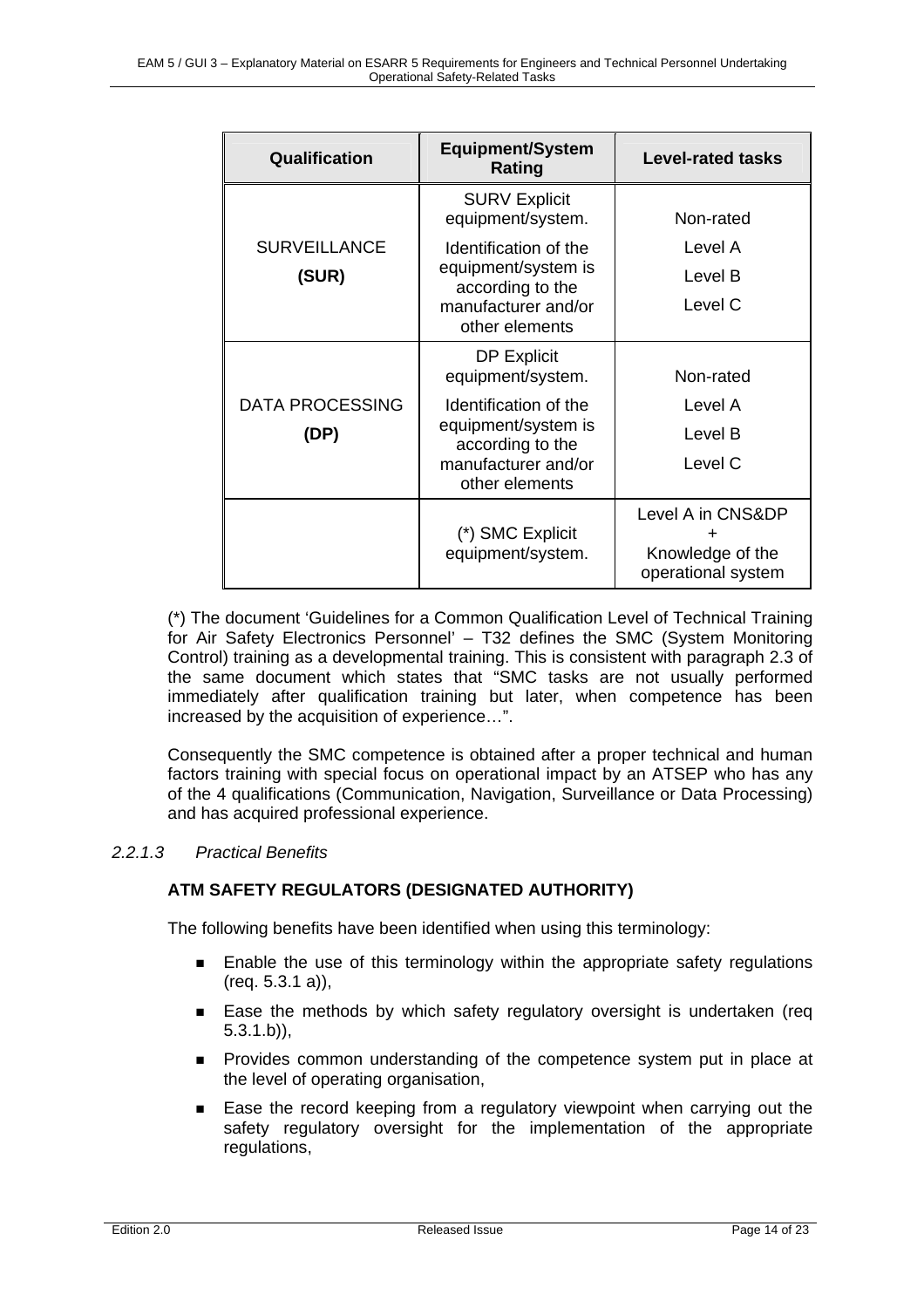| Qualification          | <b>Equipment/System</b><br>Rating         | <b>Level-rated tasks</b>                                    |
|------------------------|-------------------------------------------|-------------------------------------------------------------|
|                        | <b>SURV Explicit</b><br>equipment/system. | Non-rated                                                   |
| <b>SURVEILLANCE</b>    | Identification of the                     | Level A                                                     |
| (SUR)                  | equipment/system is<br>according to the   | Level B                                                     |
|                        | manufacturer and/or<br>other elements     | Level C                                                     |
|                        | <b>DP Explicit</b><br>equipment/system.   | Non-rated                                                   |
| <b>DATA PROCESSING</b> | Identification of the                     | Level A                                                     |
| (DP)                   | equipment/system is<br>according to the   | Level B                                                     |
|                        | manufacturer and/or<br>other elements     | Level C                                                     |
|                        | (*) SMC Explicit<br>equipment/system.     | Level A in CNS&DP<br>Knowledge of the<br>operational system |

(\*) The document 'Guidelines for a Common Qualification Level of Technical Training for Air Safety Electronics Personnel' – T32 defines the SMC (System Monitoring Control) training as a developmental training. This is consistent with paragraph 2.3 of the same document which states that "SMC tasks are not usually performed immediately after qualification training but later, when competence has been increased by the acquisition of experience…".

Consequently the SMC competence is obtained after a proper technical and human factors training with special focus on operational impact by an ATSEP who has any of the 4 qualifications (Communication, Navigation, Surveillance or Data Processing) and has acquired professional experience.

#### *2.2.1.3 Practical Benefits*

#### **ATM SAFETY REGULATORS (DESIGNATED AUTHORITY)**

The following benefits have been identified when using this terminology:

- **Enable the use of this terminology within the appropriate safety regulations** (req. 5.3.1 a)),
- Ease the methods by which safety regulatory oversight is undertaken (req 5.3.1.b)),
- Provides common understanding of the competence system put in place at the level of operating organisation,
- Ease the record keeping from a regulatory viewpoint when carrying out the safety regulatory oversight for the implementation of the appropriate regulations,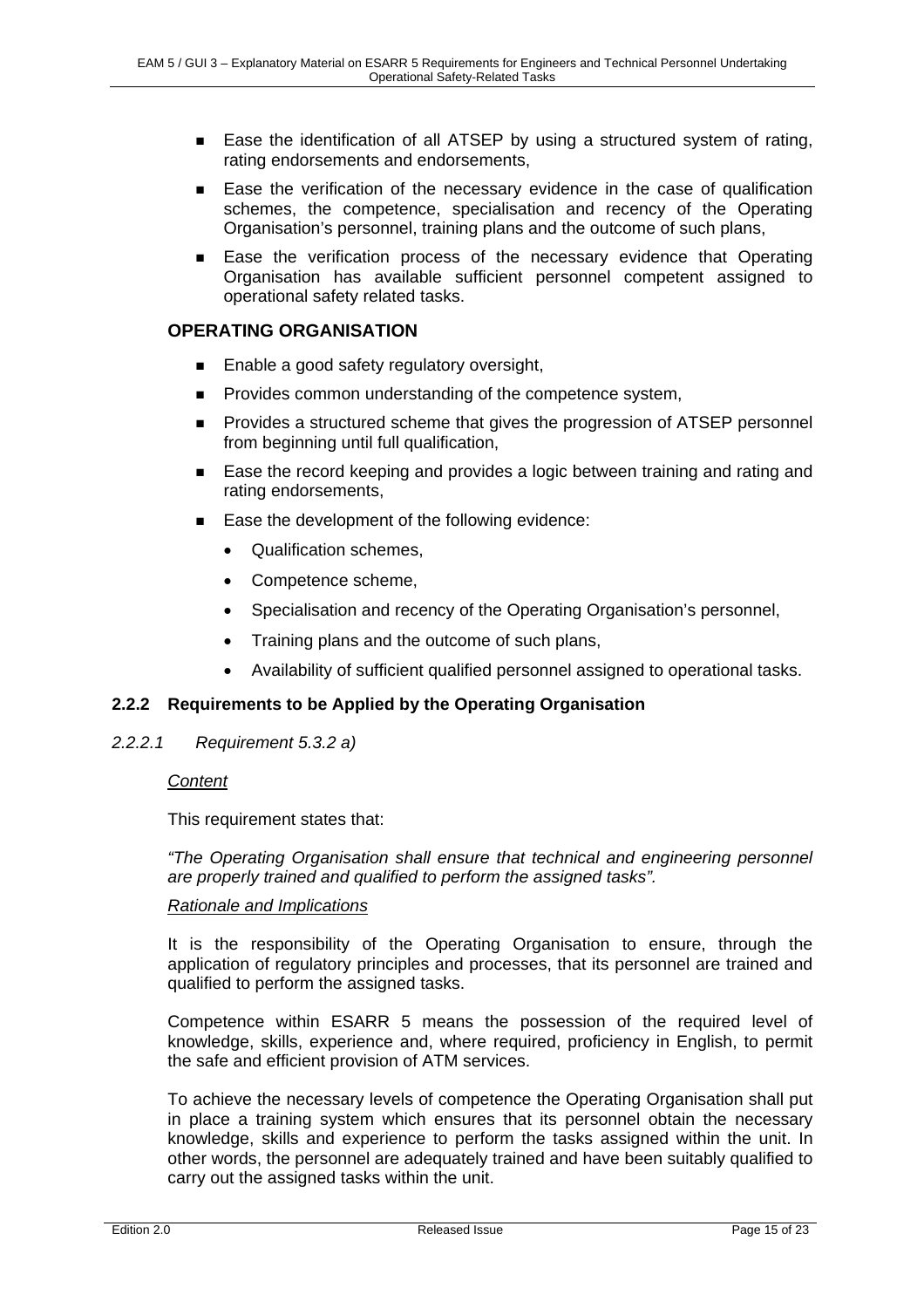- Ease the identification of all ATSEP by using a structured system of rating, rating endorsements and endorsements,
- Ease the verification of the necessary evidence in the case of qualification schemes, the competence, specialisation and recency of the Operating Organisation's personnel, training plans and the outcome of such plans,
- Ease the verification process of the necessary evidence that Operating Organisation has available sufficient personnel competent assigned to operational safety related tasks.

#### **OPERATING ORGANISATION**

- Enable a good safety regulatory oversight,
- **Provides common understanding of the competence system,**
- **Provides a structured scheme that gives the progression of ATSEP personnel** from beginning until full qualification,
- Ease the record keeping and provides a logic between training and rating and rating endorsements,
- Ease the development of the following evidence:
	- Qualification schemes,
	- Competence scheme,
	- Specialisation and recency of the Operating Organisation's personnel,
	- Training plans and the outcome of such plans,
	- Availability of sufficient qualified personnel assigned to operational tasks.

#### **2.2.2 Requirements to be Applied by the Operating Organisation**

#### *2.2.2.1 Requirement 5.3.2 a)*

#### *Content*

This requirement states that:

*"The Operating Organisation shall ensure that technical and engineering personnel are properly trained and qualified to perform the assigned tasks".* 

#### *Rationale and Implications*

It is the responsibility of the Operating Organisation to ensure, through the application of regulatory principles and processes, that its personnel are trained and qualified to perform the assigned tasks.

Competence within ESARR 5 means the possession of the required level of knowledge, skills, experience and, where required, proficiency in English, to permit the safe and efficient provision of ATM services.

To achieve the necessary levels of competence the Operating Organisation shall put in place a training system which ensures that its personnel obtain the necessary knowledge, skills and experience to perform the tasks assigned within the unit. In other words, the personnel are adequately trained and have been suitably qualified to carry out the assigned tasks within the unit.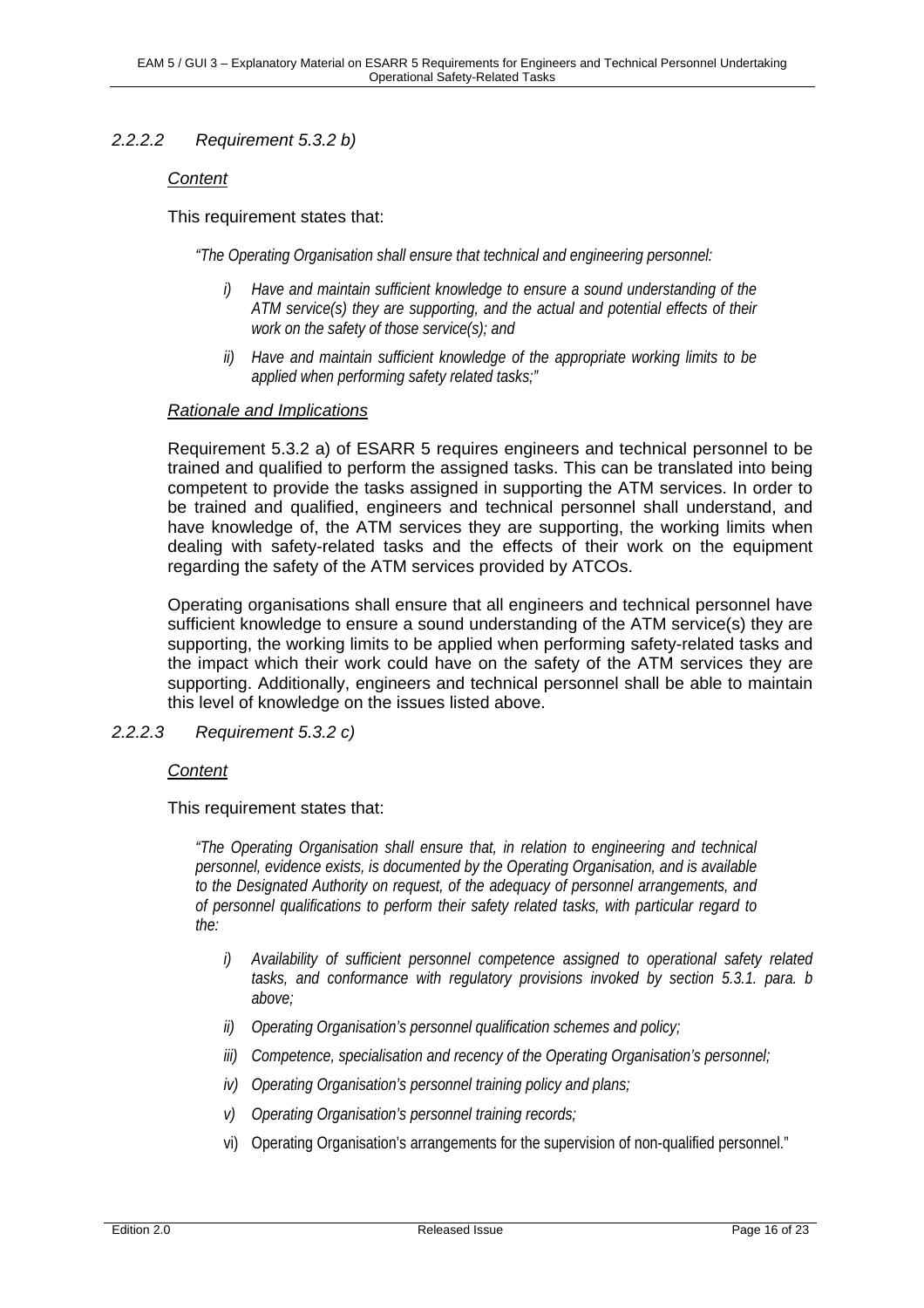#### *2.2.2.2 Requirement 5.3.2 b)*

#### *Content*

#### This requirement states that:

*"The Operating Organisation shall ensure that technical and engineering personnel:* 

- *i) Have and maintain sufficient knowledge to ensure a sound understanding of the ATM service(s) they are supporting, and the actual and potential effects of their work on the safety of those service(s); and*
- *ii) Have and maintain sufficient knowledge of the appropriate working limits to be applied when performing safety related tasks;"*

#### *Rationale and Implications*

Requirement 5.3.2 a) of ESARR 5 requires engineers and technical personnel to be trained and qualified to perform the assigned tasks. This can be translated into being competent to provide the tasks assigned in supporting the ATM services. In order to be trained and qualified, engineers and technical personnel shall understand, and have knowledge of, the ATM services they are supporting, the working limits when dealing with safety-related tasks and the effects of their work on the equipment regarding the safety of the ATM services provided by ATCOs.

Operating organisations shall ensure that all engineers and technical personnel have sufficient knowledge to ensure a sound understanding of the ATM service(s) they are supporting, the working limits to be applied when performing safety-related tasks and the impact which their work could have on the safety of the ATM services they are supporting. Additionally, engineers and technical personnel shall be able to maintain this level of knowledge on the issues listed above.

#### *2.2.2.3 Requirement 5.3.2 c)*

#### *Content*

#### This requirement states that:

*"The Operating Organisation shall ensure that, in relation to engineering and technical personnel, evidence exists, is documented by the Operating Organisation, and is available to the Designated Authority on request, of the adequacy of personnel arrangements, and of personnel qualifications to perform their safety related tasks, with particular regard to the:* 

- *i) Availability of sufficient personnel competence assigned to operational safety related tasks, and conformance with regulatory provisions invoked by section 5.3.1. para. b above;*
- *ii) Operating Organisation's personnel qualification schemes and policy;*
- *iii) Competence, specialisation and recency of the Operating Organisation's personnel;*
- *iv) Operating Organisation's personnel training policy and plans;*
- *v) Operating Organisation's personnel training records;*
- vi) Operating Organisation's arrangements for the supervision of non-qualified personnel."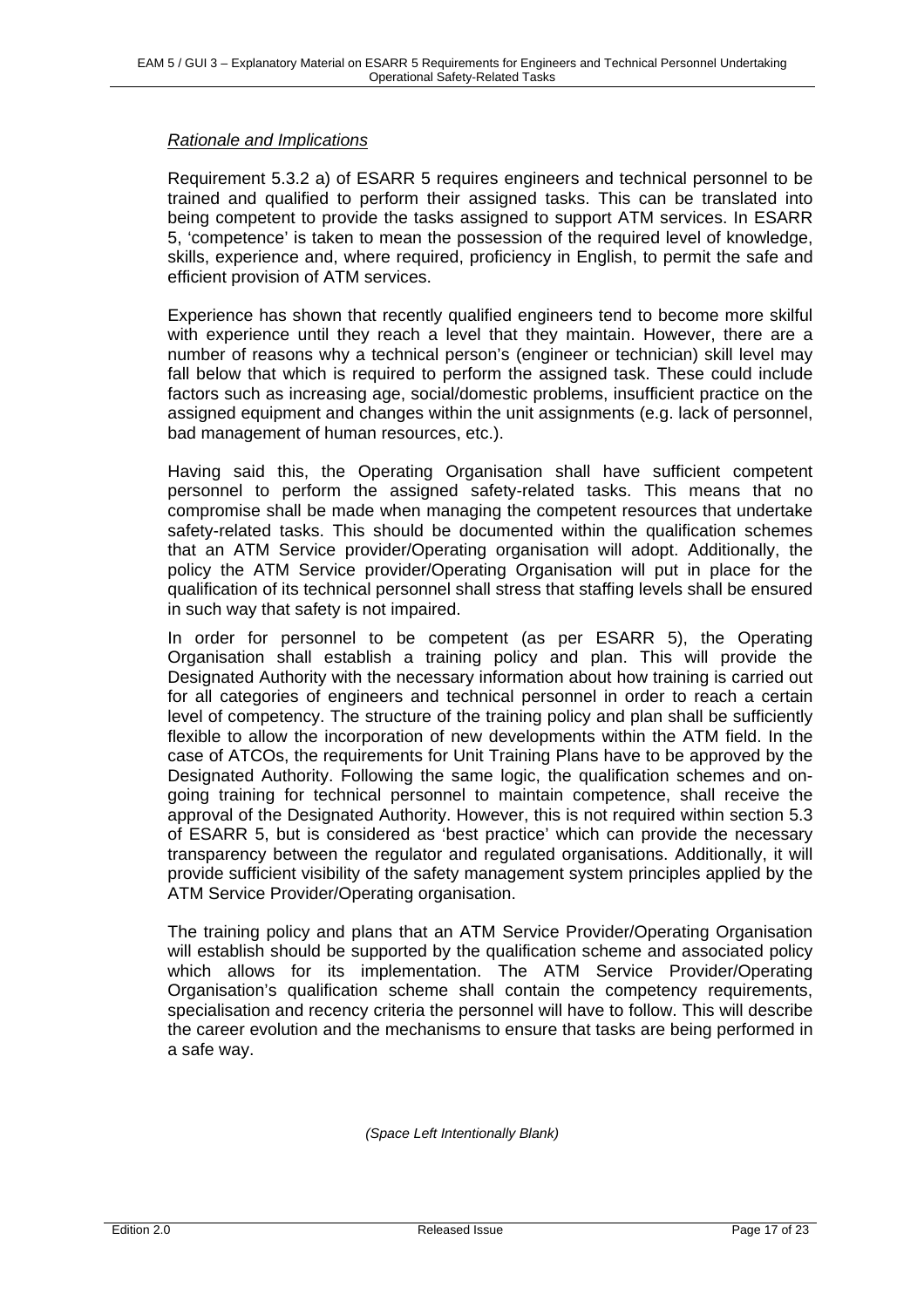#### *Rationale and Implications*

Requirement 5.3.2 a) of ESARR 5 requires engineers and technical personnel to be trained and qualified to perform their assigned tasks. This can be translated into being competent to provide the tasks assigned to support ATM services. In ESARR 5, 'competence' is taken to mean the possession of the required level of knowledge, skills, experience and, where required, proficiency in English, to permit the safe and efficient provision of ATM services.

Experience has shown that recently qualified engineers tend to become more skilful with experience until they reach a level that they maintain. However, there are a number of reasons why a technical person's (engineer or technician) skill level may fall below that which is required to perform the assigned task. These could include factors such as increasing age, social/domestic problems, insufficient practice on the assigned equipment and changes within the unit assignments (e.g. lack of personnel, bad management of human resources, etc.).

Having said this, the Operating Organisation shall have sufficient competent personnel to perform the assigned safety-related tasks. This means that no compromise shall be made when managing the competent resources that undertake safety-related tasks. This should be documented within the qualification schemes that an ATM Service provider/Operating organisation will adopt. Additionally, the policy the ATM Service provider/Operating Organisation will put in place for the qualification of its technical personnel shall stress that staffing levels shall be ensured in such way that safety is not impaired.

In order for personnel to be competent (as per ESARR 5), the Operating Organisation shall establish a training policy and plan. This will provide the Designated Authority with the necessary information about how training is carried out for all categories of engineers and technical personnel in order to reach a certain level of competency. The structure of the training policy and plan shall be sufficiently flexible to allow the incorporation of new developments within the ATM field. In the case of ATCOs, the requirements for Unit Training Plans have to be approved by the Designated Authority. Following the same logic, the qualification schemes and ongoing training for technical personnel to maintain competence, shall receive the approval of the Designated Authority. However, this is not required within section 5.3 of ESARR 5, but is considered as 'best practice' which can provide the necessary transparency between the regulator and regulated organisations. Additionally, it will provide sufficient visibility of the safety management system principles applied by the ATM Service Provider/Operating organisation.

The training policy and plans that an ATM Service Provider/Operating Organisation will establish should be supported by the qualification scheme and associated policy which allows for its implementation. The ATM Service Provider/Operating Organisation's qualification scheme shall contain the competency requirements, specialisation and recency criteria the personnel will have to follow. This will describe the career evolution and the mechanisms to ensure that tasks are being performed in a safe way.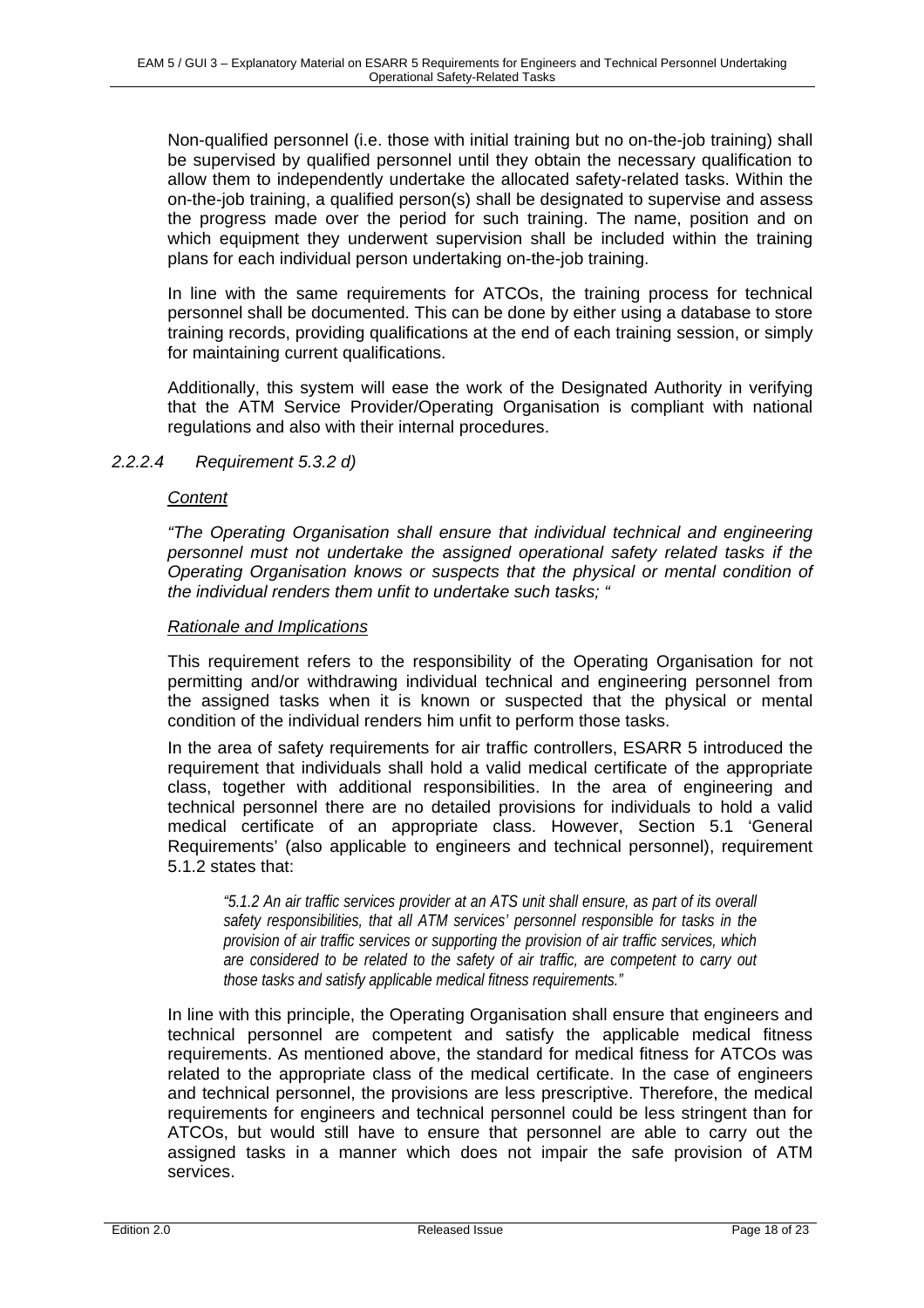Non-qualified personnel (i.e. those with initial training but no on-the-job training) shall be supervised by qualified personnel until they obtain the necessary qualification to allow them to independently undertake the allocated safety-related tasks. Within the on-the-job training, a qualified person(s) shall be designated to supervise and assess the progress made over the period for such training. The name, position and on which equipment they underwent supervision shall be included within the training plans for each individual person undertaking on-the-job training.

In line with the same requirements for ATCOs, the training process for technical personnel shall be documented. This can be done by either using a database to store training records, providing qualifications at the end of each training session, or simply for maintaining current qualifications.

Additionally, this system will ease the work of the Designated Authority in verifying that the ATM Service Provider/Operating Organisation is compliant with national regulations and also with their internal procedures.

#### *2.2.2.4 Requirement 5.3.2 d)*

#### *Content*

*"The Operating Organisation shall ensure that individual technical and engineering personnel must not undertake the assigned operational safety related tasks if the Operating Organisation knows or suspects that the physical or mental condition of the individual renders them unfit to undertake such tasks; "* 

#### *Rationale and Implications*

This requirement refers to the responsibility of the Operating Organisation for not permitting and/or withdrawing individual technical and engineering personnel from the assigned tasks when it is known or suspected that the physical or mental condition of the individual renders him unfit to perform those tasks.

In the area of safety requirements for air traffic controllers, ESARR 5 introduced the requirement that individuals shall hold a valid medical certificate of the appropriate class, together with additional responsibilities. In the area of engineering and technical personnel there are no detailed provisions for individuals to hold a valid medical certificate of an appropriate class. However, Section 5.1 'General Requirements' (also applicable to engineers and technical personnel), requirement 5.1.2 states that:

*"5.1.2 An air traffic services provider at an ATS unit shall ensure, as part of its overall safety responsibilities, that all ATM services' personnel responsible for tasks in the provision of air traffic services or supporting the provision of air traffic services, which are considered to be related to the safety of air traffic, are competent to carry out those tasks and satisfy applicable medical fitness requirements."* 

In line with this principle, the Operating Organisation shall ensure that engineers and technical personnel are competent and satisfy the applicable medical fitness requirements. As mentioned above, the standard for medical fitness for ATCOs was related to the appropriate class of the medical certificate. In the case of engineers and technical personnel, the provisions are less prescriptive. Therefore, the medical requirements for engineers and technical personnel could be less stringent than for ATCOs, but would still have to ensure that personnel are able to carry out the assigned tasks in a manner which does not impair the safe provision of ATM services.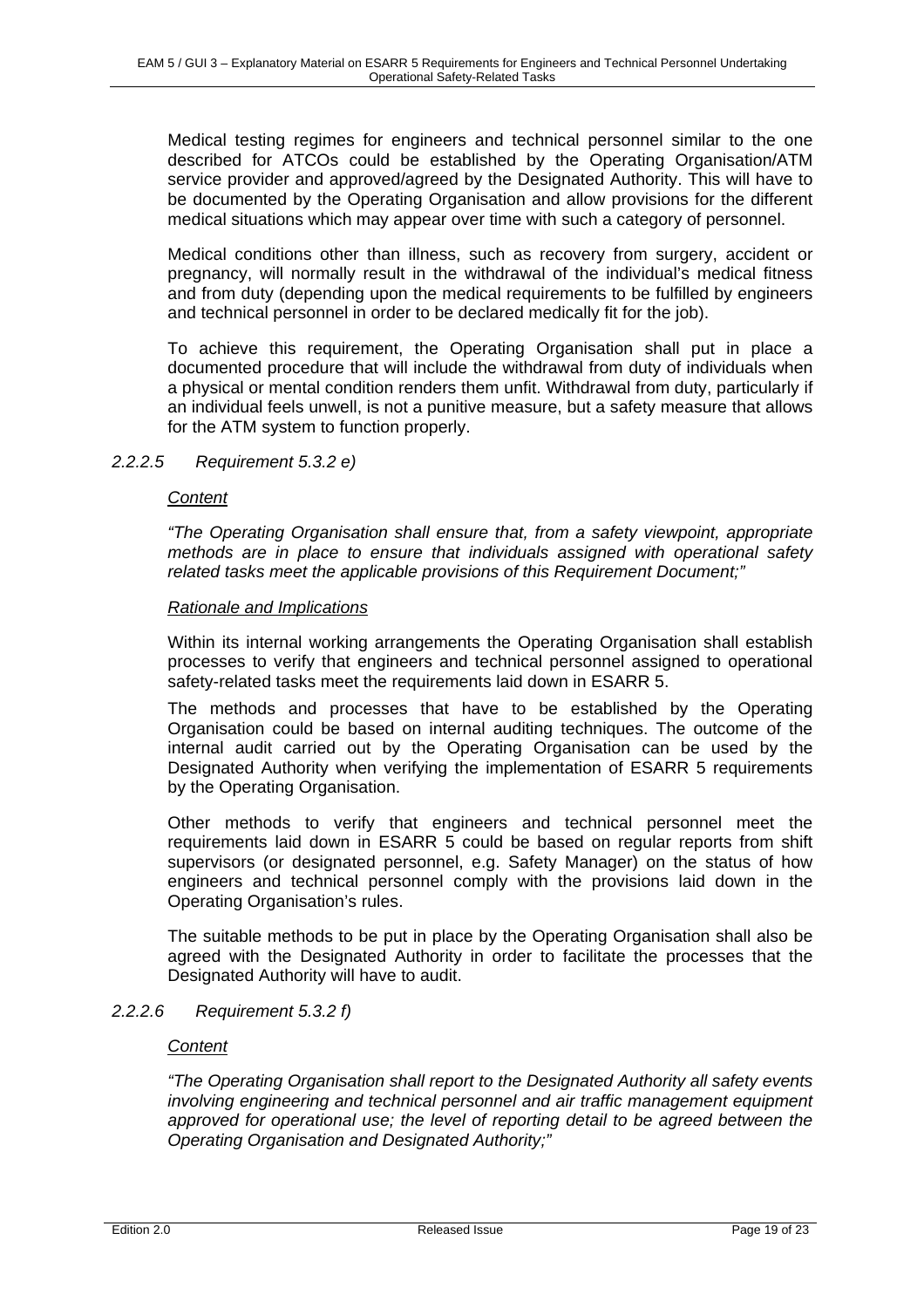Medical testing regimes for engineers and technical personnel similar to the one described for ATCOs could be established by the Operating Organisation/ATM service provider and approved/agreed by the Designated Authority. This will have to be documented by the Operating Organisation and allow provisions for the different medical situations which may appear over time with such a category of personnel.

Medical conditions other than illness, such as recovery from surgery, accident or pregnancy, will normally result in the withdrawal of the individual's medical fitness and from duty (depending upon the medical requirements to be fulfilled by engineers and technical personnel in order to be declared medically fit for the job).

To achieve this requirement, the Operating Organisation shall put in place a documented procedure that will include the withdrawal from duty of individuals when a physical or mental condition renders them unfit. Withdrawal from duty, particularly if an individual feels unwell, is not a punitive measure, but a safety measure that allows for the ATM system to function properly.

#### *2.2.2.5 Requirement 5.3.2 e)*

#### *Content*

*"The Operating Organisation shall ensure that, from a safety viewpoint, appropriate methods are in place to ensure that individuals assigned with operational safety related tasks meet the applicable provisions of this Requirement Document;"*

#### *Rationale and Implications*

Within its internal working arrangements the Operating Organisation shall establish processes to verify that engineers and technical personnel assigned to operational safety-related tasks meet the requirements laid down in ESARR 5.

The methods and processes that have to be established by the Operating Organisation could be based on internal auditing techniques. The outcome of the internal audit carried out by the Operating Organisation can be used by the Designated Authority when verifying the implementation of ESARR 5 requirements by the Operating Organisation.

Other methods to verify that engineers and technical personnel meet the requirements laid down in ESARR 5 could be based on regular reports from shift supervisors (or designated personnel, e.g. Safety Manager) on the status of how engineers and technical personnel comply with the provisions laid down in the Operating Organisation's rules.

The suitable methods to be put in place by the Operating Organisation shall also be agreed with the Designated Authority in order to facilitate the processes that the Designated Authority will have to audit.

#### *2.2.2.6 Requirement 5.3.2 f)*

#### *Content*

*"The Operating Organisation shall report to the Designated Authority all safety events involving engineering and technical personnel and air traffic management equipment approved for operational use; the level of reporting detail to be agreed between the Operating Organisation and Designated Authority;"*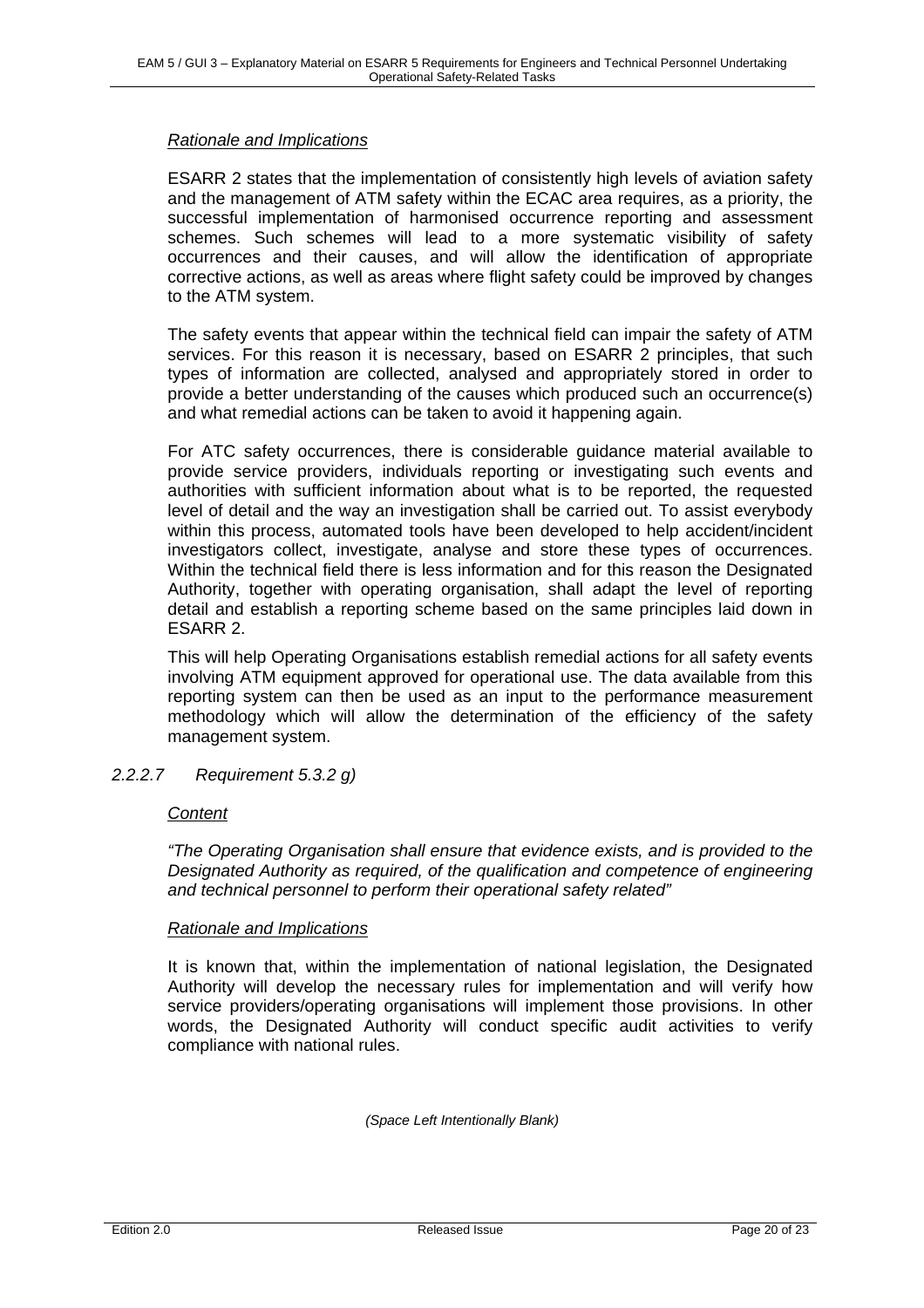#### *Rationale and Implications*

ESARR 2 states that the implementation of consistently high levels of aviation safety and the management of ATM safety within the ECAC area requires, as a priority, the successful implementation of harmonised occurrence reporting and assessment schemes. Such schemes will lead to a more systematic visibility of safety occurrences and their causes, and will allow the identification of appropriate corrective actions, as well as areas where flight safety could be improved by changes to the ATM system.

The safety events that appear within the technical field can impair the safety of ATM services. For this reason it is necessary, based on ESARR 2 principles, that such types of information are collected, analysed and appropriately stored in order to provide a better understanding of the causes which produced such an occurrence(s) and what remedial actions can be taken to avoid it happening again.

For ATC safety occurrences, there is considerable guidance material available to provide service providers, individuals reporting or investigating such events and authorities with sufficient information about what is to be reported, the requested level of detail and the way an investigation shall be carried out. To assist everybody within this process, automated tools have been developed to help accident/incident investigators collect, investigate, analyse and store these types of occurrences. Within the technical field there is less information and for this reason the Designated Authority, together with operating organisation, shall adapt the level of reporting detail and establish a reporting scheme based on the same principles laid down in ESARR 2.

This will help Operating Organisations establish remedial actions for all safety events involving ATM equipment approved for operational use. The data available from this reporting system can then be used as an input to the performance measurement methodology which will allow the determination of the efficiency of the safety management system.

*2.2.2.7 Requirement 5.3.2 g)* 

#### *Content*

*"The Operating Organisation shall ensure that evidence exists, and is provided to the Designated Authority as required, of the qualification and competence of engineering and technical personnel to perform their operational safety related"*

#### *Rationale and Implications*

It is known that, within the implementation of national legislation, the Designated Authority will develop the necessary rules for implementation and will verify how service providers/operating organisations will implement those provisions. In other words, the Designated Authority will conduct specific audit activities to verify compliance with national rules.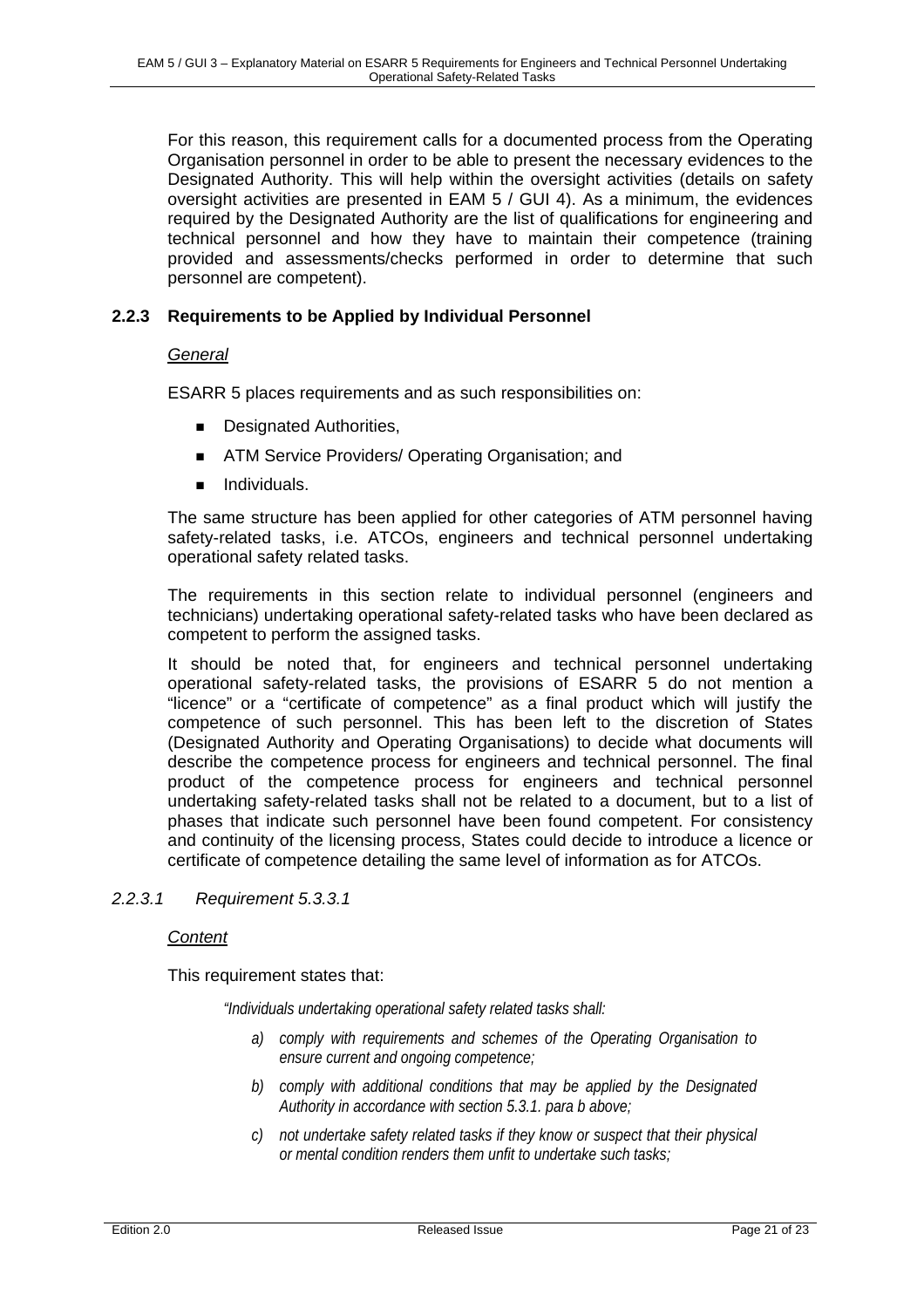For this reason, this requirement calls for a documented process from the Operating Organisation personnel in order to be able to present the necessary evidences to the Designated Authority. This will help within the oversight activities (details on safety oversight activities are presented in EAM 5 / GUI 4). As a minimum, the evidences required by the Designated Authority are the list of qualifications for engineering and technical personnel and how they have to maintain their competence (training provided and assessments/checks performed in order to determine that such personnel are competent).

#### **2.2.3 Requirements to be Applied by Individual Personnel**

#### *General*

ESARR 5 places requirements and as such responsibilities on:

- **Designated Authorities,**
- **ATM Service Providers/ Operating Organisation; and**
- **ndividuals.**

The same structure has been applied for other categories of ATM personnel having safety-related tasks, i.e. ATCOs, engineers and technical personnel undertaking operational safety related tasks.

The requirements in this section relate to individual personnel (engineers and technicians) undertaking operational safety-related tasks who have been declared as competent to perform the assigned tasks.

It should be noted that, for engineers and technical personnel undertaking operational safety-related tasks, the provisions of ESARR 5 do not mention a "licence" or a "certificate of competence" as a final product which will justify the competence of such personnel. This has been left to the discretion of States (Designated Authority and Operating Organisations) to decide what documents will describe the competence process for engineers and technical personnel. The final product of the competence process for engineers and technical personnel undertaking safety-related tasks shall not be related to a document, but to a list of phases that indicate such personnel have been found competent. For consistency and continuity of the licensing process, States could decide to introduce a licence or certificate of competence detailing the same level of information as for ATCOs.

#### *2.2.3.1 Requirement 5.3.3.1*

#### *Content*

This requirement states that:

*"Individuals undertaking operational safety related tasks shall:* 

- *a) comply with requirements and schemes of the Operating Organisation to ensure current and ongoing competence;*
- *b) comply with additional conditions that may be applied by the Designated Authority in accordance with section 5.3.1. para b above;*
- *c) not undertake safety related tasks if they know or suspect that their physical or mental condition renders them unfit to undertake such tasks;*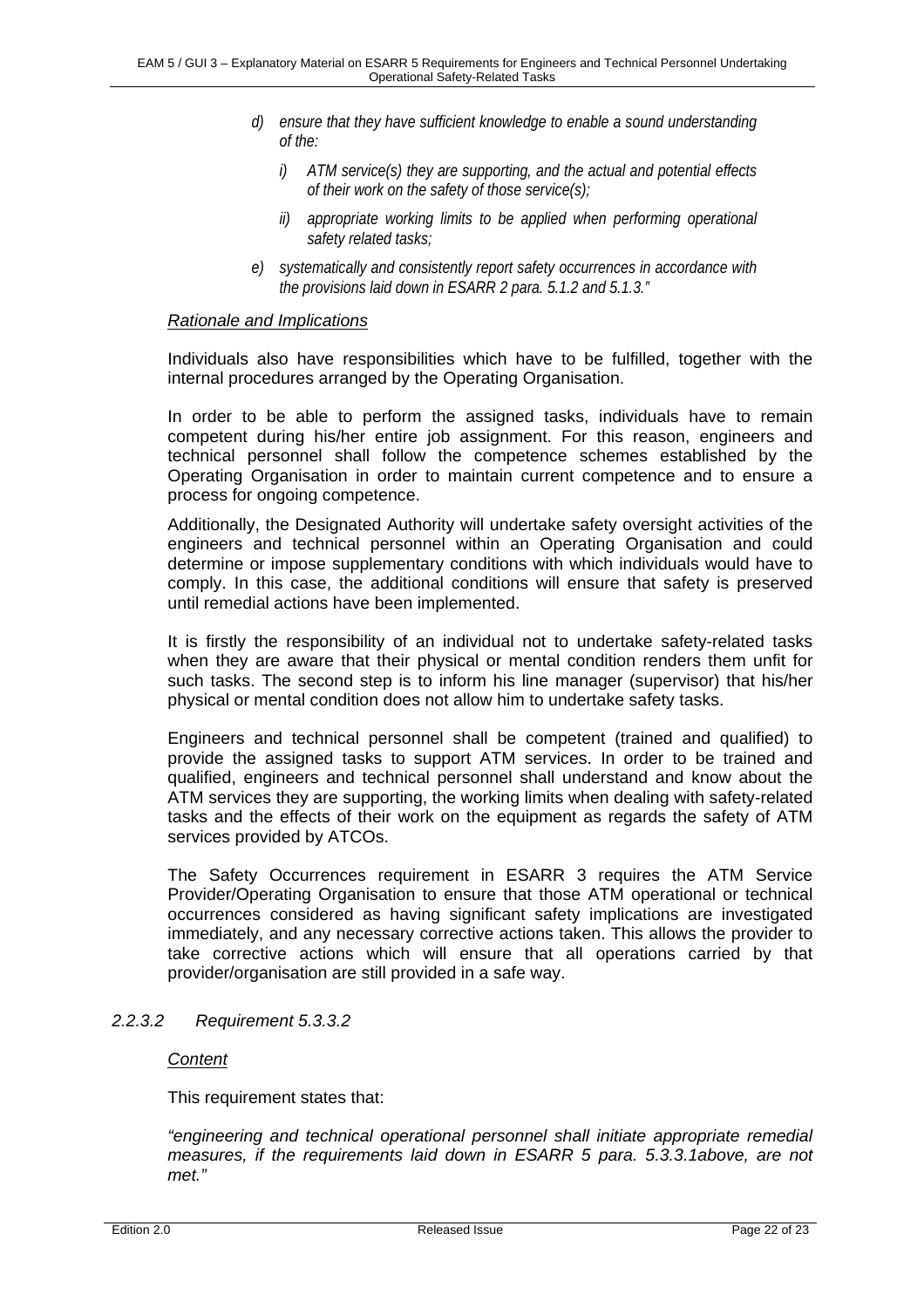- *d) ensure that they have sufficient knowledge to enable a sound understanding of the:* 
	- *i) ATM service(s) they are supporting, and the actual and potential effects of their work on the safety of those service(s);*
	- *ii) appropriate working limits to be applied when performing operational safety related tasks;*
- *e) systematically and consistently report safety occurrences in accordance with the provisions laid down in ESARR 2 para. 5.1.2 and 5.1.3."*

#### *Rationale and Implications*

Individuals also have responsibilities which have to be fulfilled, together with the internal procedures arranged by the Operating Organisation.

In order to be able to perform the assigned tasks, individuals have to remain competent during his/her entire job assignment. For this reason, engineers and technical personnel shall follow the competence schemes established by the Operating Organisation in order to maintain current competence and to ensure a process for ongoing competence.

Additionally, the Designated Authority will undertake safety oversight activities of the engineers and technical personnel within an Operating Organisation and could determine or impose supplementary conditions with which individuals would have to comply. In this case, the additional conditions will ensure that safety is preserved until remedial actions have been implemented.

It is firstly the responsibility of an individual not to undertake safety-related tasks when they are aware that their physical or mental condition renders them unfit for such tasks. The second step is to inform his line manager (supervisor) that his/her physical or mental condition does not allow him to undertake safety tasks.

Engineers and technical personnel shall be competent (trained and qualified) to provide the assigned tasks to support ATM services. In order to be trained and qualified, engineers and technical personnel shall understand and know about the ATM services they are supporting, the working limits when dealing with safety-related tasks and the effects of their work on the equipment as regards the safety of ATM services provided by ATCOs.

The Safety Occurrences requirement in ESARR 3 requires the ATM Service Provider/Operating Organisation to ensure that those ATM operational or technical occurrences considered as having significant safety implications are investigated immediately, and any necessary corrective actions taken. This allows the provider to take corrective actions which will ensure that all operations carried by that provider/organisation are still provided in a safe way.

#### *2.2.3.2 Requirement 5.3.3.2*

#### *Content*

This requirement states that:

*"engineering and technical operational personnel shall initiate appropriate remedial measures, if the requirements laid down in ESARR 5 para. 5.3.3.1above, are not met."*